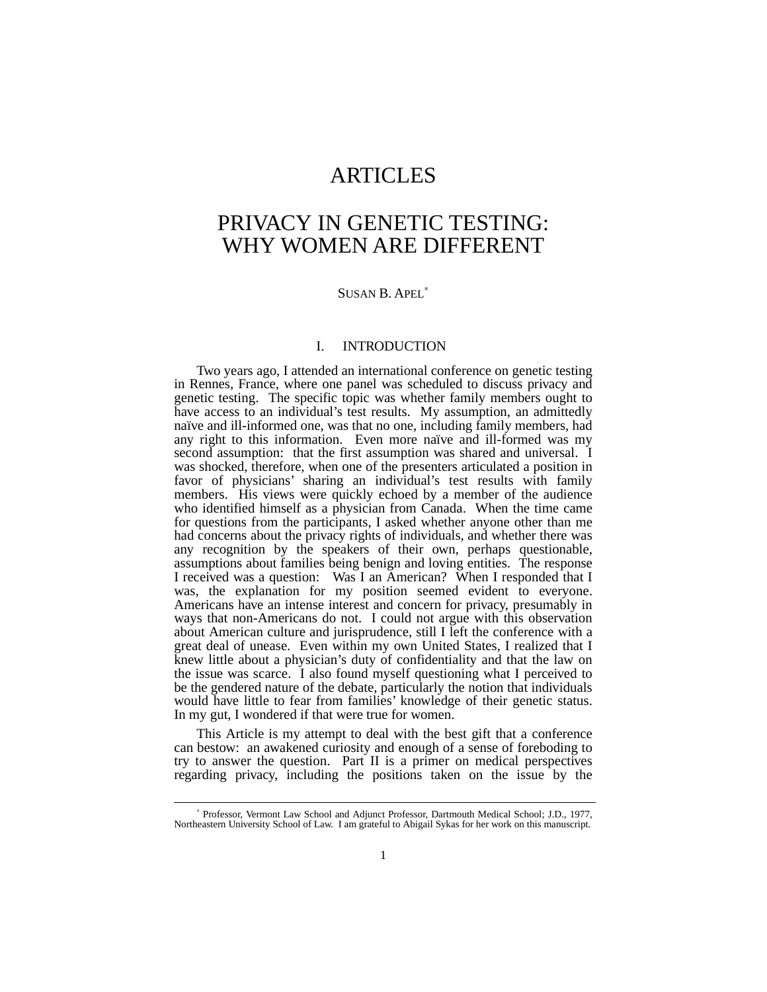# ARTICLES

# PRIVACY IN GENETIC TESTING: WHY WOMEN ARE DIFFERENT

#### SUSAN B. APEL<sup>\*</sup>

### I. INTRODUCTION

Two years ago, I attended an international conference on genetic testing in Rennes, France, where one panel was scheduled to discuss privacy and genetic testing. The specific topic was whether family members ought to have access to an individual's test results. My assumption, an admittedly naïve and ill-informed one, was that no one, including family members, had any right to this information. Even more naïve and ill-formed was my second assumption: that the first assumption was shared and universal. I was shocked, therefore, when one of the presenters articulated a position in favor of physicians' sharing an individual's test results with family members. His views were quickly echoed by a member of the audience who identified himself as a physician from Canada. When the time came for questions from the participants, I asked whether anyone other than me had concerns about the privacy rights of individuals, and whether there was any recognition by the speakers of their own, perhaps questionable, assumptions about families being benign and loving entities. The response I received was a question: Was I an American? When I responded that I was, the explanation for my position seemed evident to everyone. Americans have an intense interest and concern for privacy, presumably in ways that non-Americans do not. I could not argue with this observation about American culture and jurisprudence, still I left the conference with a great deal of unease. Even within my own United States, I realized that I knew little about a physician's duty of confidentiality and that the law on the issue was scarce. I also found myself questioning what I perceived to be the gendered nature of the debate, particularly the notion that individuals would have little to fear from families' knowledge of their genetic status. In my gut, I wondered if that were true for women.

This Article is my attempt to deal with the best gift that a conference can bestow: an awakened curiosity and enough of a sense of foreboding to try to answer the question. Part II is a primer on medical perspectives regarding privacy, including the positions taken on the issue by the

<sup>∗</sup> Professor, Vermont Law School and Adjunct Professor, Dartmouth Medical School; J.D., 1977, Northeastern University School of Law. I am grateful to Abigail Sykas for her work on this manuscript.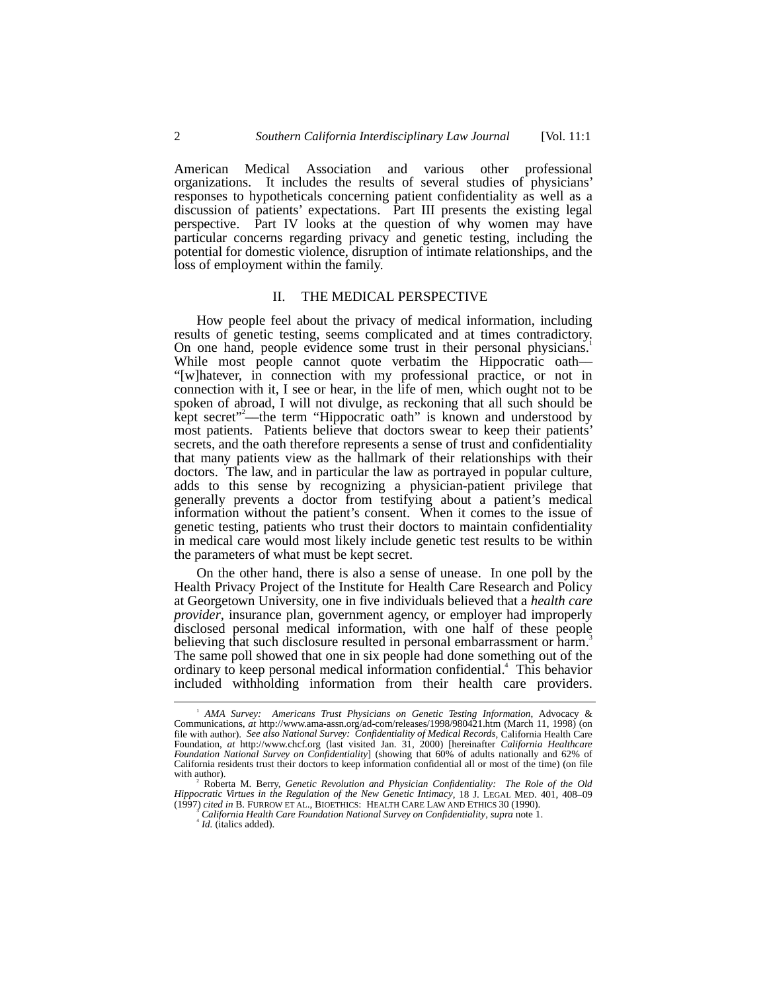American Medical Association and various other professional organizations. It includes the results of several studies of physicians' responses to hypotheticals concerning patient confidentiality as well as a discussion of patients' expectations. Part III presents the existing legal perspective. Part IV looks at the question of why women may have particular concerns regarding privacy and genetic testing, including the potential for domestic violence, disruption of intimate relationships, and the loss of employment within the family.

#### II. THE MEDICAL PERSPECTIVE

How people feel about the privacy of medical information, including results of genetic testing, seems complicated and at times contradictory. On one hand, people evidence some trust in their personal physicians.<sup>1</sup> While most people cannot quote verbatim the Hippocratic oath— "[w]hatever, in connection with my professional practice, or not in connection with it, I see or hear, in the life of men, which ought not to be spoken of abroad, I will not divulge, as reckoning that all such should be kept secret"<sup>2</sup>—the term "Hippocratic oath" is known and understood by most patients. Patients believe that doctors swear to keep their patients' secrets, and the oath therefore represents a sense of trust and confidentiality that many patients view as the hallmark of their relationships with their doctors. The law, and in particular the law as portrayed in popular culture, adds to this sense by recognizing a physician-patient privilege that generally prevents a doctor from testifying about a patient's medical information without the patient's consent. When it comes to the issue of genetic testing, patients who trust their doctors to maintain confidentiality in medical care would most likely include genetic test results to be within the parameters of what must be kept secret.

On the other hand, there is also a sense of unease. In one poll by the Health Privacy Project of the Institute for Health Care Research and Policy at Georgetown University, one in five individuals believed that a *health care provider*, insurance plan, government agency, or employer had improperly disclosed personal medical information, with one half of these people believing that such disclosure resulted in personal embarrassment or harm.<sup>3</sup> The same poll showed that one in six people had done something out of the ordinary to keep personal medical information confidential.<sup>4</sup> This behavior included withholding information from their health care providers.

 <sup>1</sup> *AMA Survey: Americans Trust Physicians on Genetic Testing Information*, Advocacy & Communications, *at* http://www.ama-assn.org/ad-com/releases/1998/980421.htm (March 11, 1998) (on file with author). *See also National Survey: Confidentiality of Medical Records*, California Health Care Foundation, *at* http://www.chcf.org (last visited Jan. 31, 2000) [hereinafter *California Healthcare Foundation National Survey on Confidentiality*] (showing that 60% of adults nationally and 62% of California residents trust their doctors to keep information confidential all or most of the time) (on file with author).

Roberta M. Berry, *Genetic Revolution and Physician Confidentiality: The Role of the Old Hippocratic Virtues in the Regulation of the New Genetic Intimacy*, 18 J. LEGAL MED. 401, 408–09 (1997) *cited in* B. FURROW ET AL., BIOETHICS: HEALTH CARE LAW AND ETHICS 30 (1990). <sup>3</sup>

*California Health Care Foundation National Survey on Confidentiality*, *supra* note 1. <sup>4</sup>

<sup>&</sup>lt;sup>4</sup> *Id.* (italics added).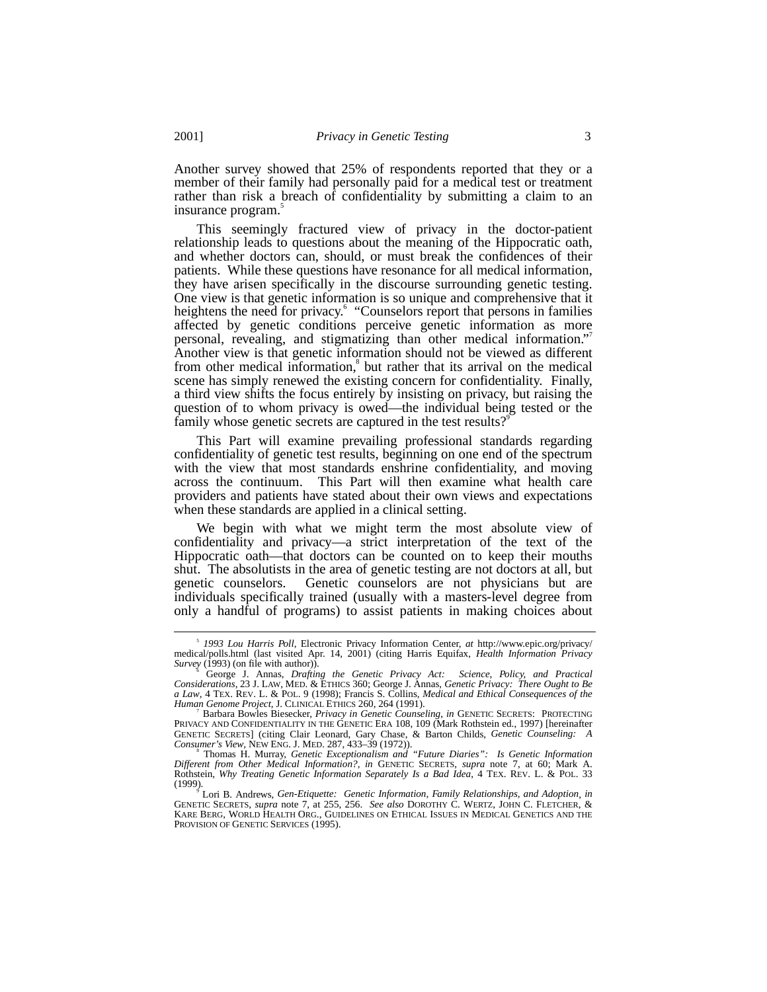Another survey showed that 25% of respondents reported that they or a member of their family had personally paid for a medical test or treatment rather than risk a breach of confidentiality by submitting a claim to an insurance program.

This seemingly fractured view of privacy in the doctor-patient relationship leads to questions about the meaning of the Hippocratic oath, and whether doctors can, should, or must break the confidences of their patients. While these questions have resonance for all medical information, they have arisen specifically in the discourse surrounding genetic testing. One view is that genetic information is so unique and comprehensive that it heightens the need for privacy.<sup>6</sup> "Counselors report that persons in families affected by genetic conditions perceive genetic information as more personal, revealing, and stigmatizing than other medical information." Another view is that genetic information should not be viewed as different from other medical information,<sup>8</sup> but rather that its arrival on the medical scene has simply renewed the existing concern for confidentiality. Finally, a third view shifts the focus entirely by insisting on privacy, but raising the question of to whom privacy is owed––the individual being tested or the family whose genetic secrets are captured in the test results?<sup>9</sup>

This Part will examine prevailing professional standards regarding confidentiality of genetic test results, beginning on one end of the spectrum with the view that most standards enshrine confidentiality, and moving across the continuum. This Part will then examine what health care providers and patients have stated about their own views and expectations when these standards are applied in a clinical setting.

We begin with what we might term the most absolute view of confidentiality and privacy––a strict interpretation of the text of the Hippocratic oath––that doctors can be counted on to keep their mouths shut. The absolutists in the area of genetic testing are not doctors at all, but genetic counselors. Genetic counselors are not physicians but are individuals specifically trained (usually with a masters-level degree from only a handful of programs) to assist patients in making choices about

 $\frac{1}{s}$ *1993 Lou Harris Poll*, Electronic Privacy Information Center, *at* http://www.epic.org/privacy/ medical/polls.html (last visited Apr. 14, 2001) (citing Harris Equifax, *Health Information Privacy*

*Survey* (1993) (on file with author)). <sup>6</sup> George J. Annas, *Drafting the Genetic Privacy Act: Science, Policy, and Practical Considerations*, 23 J. LAW, MED. & ETHICS 360; George J. Annas, *Genetic Privacy: There Ought to Be a Law*, 4 TEX. REV. L. & POL. 9 (1998); Francis S. Collins, *Medical and Ethical Consequences of the Human Genome Project*, J. CLINICAL ETHICS 260, 264 (1991). <sup>7</sup>

<sup>&</sup>lt;sup>7</sup> Barbara Bowles Biesecker, *Privacy in Genetic Counseling*, *in GENETIC SECRETS*: PROTECTING<br>PRIVACY AND CONFIDENTIALITY IN THE GENETIC ERA 108, 109 (Mark Rothstein ed., 1997) [hereinafter GENETIC SECRETS] (citing Clair Leonard, Gary Chase, & Barton Childs, *Genetic Counseling: A*

*Consumer's View*, NEW ENG. J. MED. 287, 433–39 (1972)). <sup>8</sup> Thomas H. Murray, *Genetic Exceptionalism and "Future Diaries": Is Genetic Information Different from Other Medical Information?*, *in* GENETIC SECRETS, *supra* note 7, at 60; Mark A. Rothstein, *Why Treating Genetic Information Separately Is a Bad Idea*, 4 TEX. REV. L. & POL. 33 (1999). <sup>9</sup> Lori B. Andrews, *Gen-Etiquette: Genetic Information, Family Relationships, and Adoption*, *in*

GENETIC SECRETS, *supra* note 7, at 255, 256. *See also* DOROTHY C. WERTZ, JOHN C. FLETCHER, & KARE BERG, WORLD HEALTH ORG., GUIDELINES ON ETHICAL ISSUES IN MEDICAL GENETICS AND THE PROVISION OF GENETIC SERVICES (1995).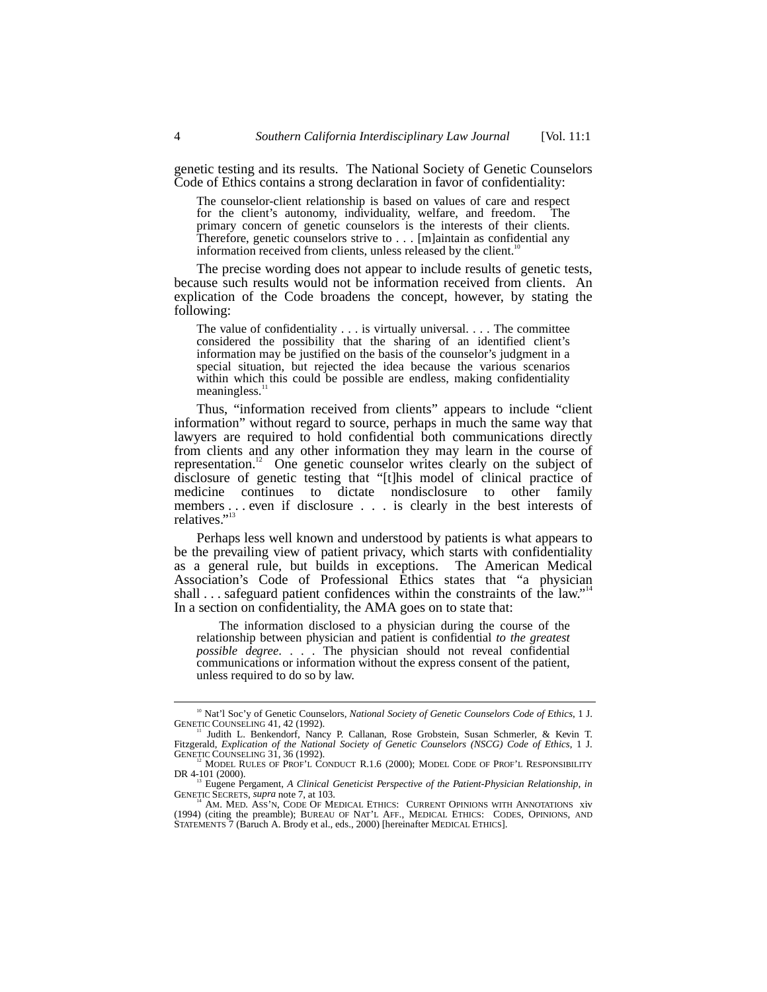genetic testing and its results. The National Society of Genetic Counselors Code of Ethics contains a strong declaration in favor of confidentiality:

The counselor-client relationship is based on values of care and respect for the client's autonomy, individuality, welfare, and freedom. The primary concern of genetic counselors is the interests of their clients. Therefore, genetic counselors strive to . . . [m]aintain as confidential any information received from clients, unless released by the client.<sup>11</sup>

The precise wording does not appear to include results of genetic tests, because such results would not be information received from clients. An explication of the Code broadens the concept, however, by stating the following:

The value of confidentiality . . . is virtually universal. . . . The committee considered the possibility that the sharing of an identified client's information may be justified on the basis of the counselor's judgment in a special situation, but rejected the idea because the various scenarios within which this could be possible are endless, making confidentiality meaningless.<sup>1</sup>

Thus, "information received from clients" appears to include "client information" without regard to source, perhaps in much the same way that lawyers are required to hold confidential both communications directly from clients and any other information they may learn in the course of representation.<sup>12</sup> One genetic counselor writes clearly on the subject of disclosure of genetic testing that "[t]his model of clinical practice of medicine continues to dictate nondisclosure to other family members . . . even if disclosure . . . is clearly in the best interests of relatives."<sup>13</sup>

Perhaps less well known and understood by patients is what appears to be the prevailing view of patient privacy, which starts with confidentiality as a general rule, but builds in exceptions. The American Medical Association's Code of Professional Ethics states that "a physician shall ... safeguard patient confidences within the constraints of the law."<sup>14</sup> In a section on confidentiality, the AMA goes on to state that:

The information disclosed to a physician during the course of the relationship between physician and patient is confidential *to the greatest possible degree*. . . . The physician should not reveal confidential communications or information without the express consent of the patient, unless required to do so by law.

<sup>&</sup>lt;sup>10</sup> Nat'l Soc'y of Genetic Counselors, *National Society of Genetic Counselors Code of Ethics*, 1 J.<br>GENETIC COUNSELING 41, 42 (1992).

Judith L. Benkendorf, Nancy P. Callanan, Rose Grobstein, Susan Schmerler, & Kevin T. Fitzgerald, *Explication of the National Society of Genetic Counselors (NSCG) Code of Ethics*, 1 J.<br>GENETIC COUNSELING 31, 36 (1992).

<sup>&</sup>lt;sup>12</sup> MODEL RULES OF PROF'L CONDUCT R.1.6 (2000); MODEL CODE OF PROF'L RESPONSIBILITY

DR 4-101 (2000).<br><sup>13</sup> Eugene Pergament, *A Clinical Geneticist Perspective of the Patient-Physician Relationship, in*<br>GENETIC SECRETS, *supra* note 7, at 103.

GENETIC SECRETS, *supra* note 7, at 103.<br><sup>14</sup> AM. MED. ASS'N, CODE OF MEDICAL ETHICS: CURRENT OPINIONS WITH ANNOTATIONS xiv<br>(1994) (citing the preamble); BUREAU OF NAT'L AFF., MEDICAL ETHICS: CODES, OPINIONS, AND STATEMENTS 7 (Baruch A. Brody et al., eds., 2000) [hereinafter MEDICAL ETHICS].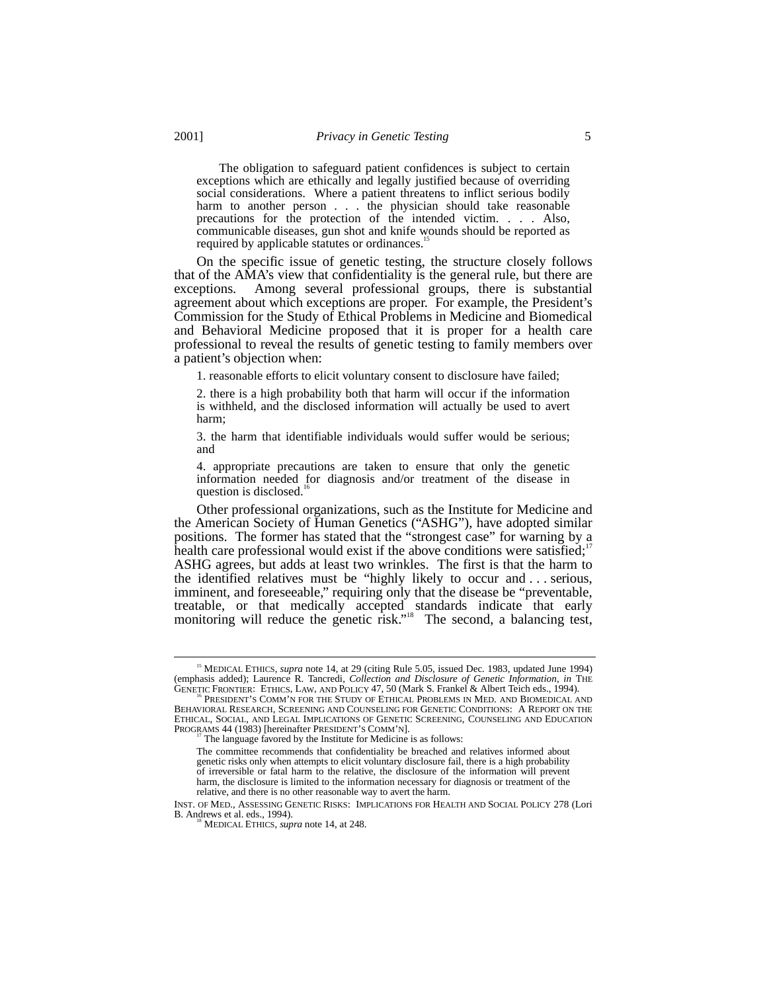The obligation to safeguard patient confidences is subject to certain exceptions which are ethically and legally justified because of overriding social considerations. Where a patient threatens to inflict serious bodily harm to another person . . . the physician should take reasonable precautions for the protection of the intended victim. . . . Also, communicable diseases, gun shot and knife wounds should be reported as required by applicable statutes or ordinances.<sup>15</sup>

On the specific issue of genetic testing, the structure closely follows that of the AMA's view that confidentiality is the general rule, but there are exceptions. Among several professional groups, there is substantial agreement about which exceptions are proper. For example, the President's Commission for the Study of Ethical Problems in Medicine and Biomedical and Behavioral Medicine proposed that it is proper for a health care professional to reveal the results of genetic testing to family members over a patient's objection when:

1. reasonable efforts to elicit voluntary consent to disclosure have failed;

2. there is a high probability both that harm will occur if the information is withheld, and the disclosed information will actually be used to avert harm;

3. the harm that identifiable individuals would suffer would be serious; and

4. appropriate precautions are taken to ensure that only the genetic information needed for diagnosis and/or treatment of the disease in question is disclosed.<sup>16</sup>

Other professional organizations, such as the Institute for Medicine and the American Society of Human Genetics ("ASHG"), have adopted similar positions. The former has stated that the "strongest case" for warning by a health care professional would exist if the above conditions were satisfied; $17$ ASHG agrees, but adds at least two wrinkles. The first is that the harm to the identified relatives must be "highly likely to occur and . . . serious, imminent, and foreseeable," requiring only that the disease be "preventable, treatable, or that medically accepted standards indicate that early monitoring will reduce the genetic risk."<sup>18</sup> The second, a balancing test,

 <sup>15</sup> MEDICAL ETHICS, *supra* note 14, at 29 (citing Rule 5.05, issued Dec. 1983, updated June 1994) (emphasis added); Laurence R. Tancredi, *Collection and Disclosure of Genetic Information*, *in* THE GENETIC FRONTIER: ETHICS, LAW, AND POLICY 47, 50 (Mark S. Frankel & Albert Teich eds., 1994).

BEHAVIORAL RESEARCH, SCREENING AND COUNSELING FOR GENETIC CONDITIONS: A REPORT ON THE ETHICAL, SOCIAL, AND LEGAL IMPLICATIONS OF GENETIC SCREENING, COUNSELING AND EDUCATION PROGRAMS 44 (1983) [hereinafter PRESIDENT'S COMM'N]. <sup>17</sup> The language favored by the Institute for Medicine is as follows:

The committee recommends that confidentiality be breached and relatives informed about genetic risks only when attempts to elicit voluntary disclosure fail, there is a high probability of irreversible or fatal harm to the relative, the disclosure of the information will prevent harm, the disclosure is limited to the information necessary for diagnosis or treatment of the relative, and there is no other reasonable way to avert the harm.

INST. OF MED., ASSESSING GENETIC RISKS: IMPLICATIONS FOR HEALTH AND SOCIAL POLICY 278 (Lori

MEDICAL ETHICS, *supra* note 14, at 248.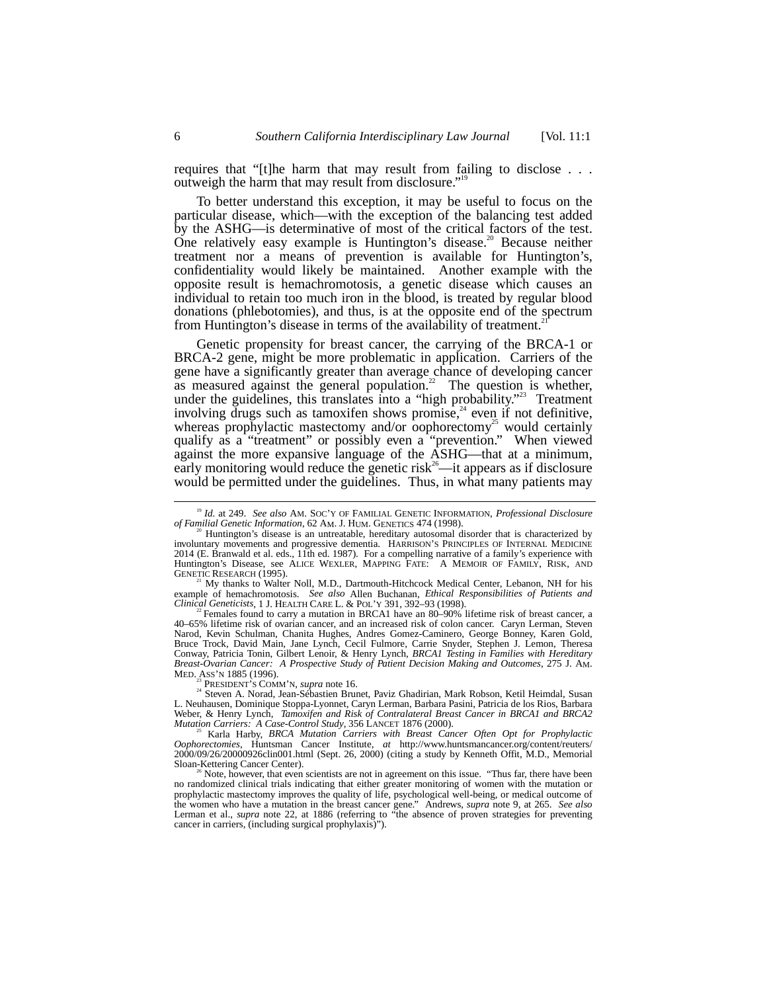requires that "[t]he harm that may result from failing to disclose . . . outweigh the harm that may result from disclosure."<sup>19</sup>

To better understand this exception, it may be useful to focus on the particular disease, which––with the exception of the balancing test added by the ASHG––is determinative of most of the critical factors of the test. One relatively easy example is Huntington's disease.<sup>20</sup> Because neither treatment nor a means of prevention is available for Huntington's, confidentiality would likely be maintained. Another example with the opposite result is hemachromotosis, a genetic disease which causes an individual to retain too much iron in the blood, is treated by regular blood donations (phlebotomies), and thus, is at the opposite end of the spectrum from Huntington's disease in terms of the availability of treatment.

Genetic propensity for breast cancer, the carrying of the BRCA-1 or BRCA-2 gene, might be more problematic in application. Carriers of the gene have a significantly greater than average chance of developing cancer as measured against the general population.<sup>22</sup> The question is whether, under the guidelines, this translates into a "high probability."<sup>23</sup> Treatment involving drugs such as tamoxifen shows promise,  $24$  even if not definitive, whereas prophylactic mastectomy and/or oophorectomy<sup>25</sup> would certainly qualify as a "treatment" or possibly even a "prevention." When viewed against the more expansive language of the ASHG––that at a minimum, early monitoring would reduce the genetic risk<sup>26</sup>—it appears as if disclosure would be permitted under the guidelines. Thus, in what many patients may

 $H$ <sup>1</sup> My thanks to Walter Noll, M.D., Dartmouth-Hitchcock Medical Center, Lebanon, NH for his example of hemachromotosis. See also Allen Buchanan, *Ethical Responsibilities of Patients and Clinical Geneticists*, 1 J. HEALTH CARE L. & POL'Y 391, 392–93 (1998).<br><sup>22</sup> Females found to carry a mutation in BRCA1 have an

40–65% lifetime risk of ovarian cancer, and an increased risk of colon cancer. Caryn Lerman, Steven Narod, Kevin Schulman, Chanita Hughes, Andres Gomez-Caminero, George Bonney, Karen Gold, Bruce Trock, David Main, Jane Lynch, Cecil Fulmore, Carrie Snyder, Stephen J. Lemon, Theresa Conway, Patricia Tonin, Gilbert Lenoir, & Henry Lynch, *BRCA1 Testing in Families with Hereditary* MED. ASS'N 1885 (1996).<br><sup>23</sup> PRESIDENT'S COMM'N, *supra* note 16.<br><sup>24</sup> Steven A. Norad, Jean-Sébastien Brunet, Paviz Ghadirian, Mark Robson, Ketil Heimdal, Susan

L. Neuhausen, Dominique Stoppa-Lyonnet, Caryn Lerman, Barbara Pasini, Patricia de los Rios, Barbara Weber, & Henry Lynch, Tamoxifen and Risk of Contralateral Breast Cancer in BRCA1 and BRCA2<br>Mutation Carriers: A Case-Control Study, 356 LANCET 1876 (2000).<br><sup>25</sup> Karla Harby, BRCA Mutation Carriers with Breast Cancer Often

*Oophorectomies*, Huntsman Cancer Institute, *at* http://www.huntsmancancer.org/content/reuters/ 2000/09/26/20000926clin001.html (Sept. 26, 2000) (citing a study by Kenneth Offit, M.D., Memorial

Note, however, that even scientists are not in agreement on this issue. "Thus far, there have been no randomized clinical trials indicating that either greater monitoring of women with the mutation or prophylactic mastectomy improves the quality of life, psychological well-being, or medical outcome of the women who have a mutation in the breast cancer gene." Andrews, *supra* note 9, at 265. *See also* Lerman et al., *supra* note 22, at 1886 (referring to "the absence of proven strategies for preventing cancer in carriers, (including surgical prophylaxis)").

 <sup>19</sup> *Id.* at 249. *See also* AM. SOC'Y OF FAMILIAL GENETIC INFORMATION, *Professional Disclosure*

Huntington's disease is an untreatable, hereditary autosomal disorder that is characterized by involuntary movements and progressive dementia. HARRISON'S PRINCIPLES OF INTERNAL MEDICINE 2014 (E. Branwald et al. eds., 11th ed. 1987). For a compelling narrative of a family's experience with Huntington's Disease, see ALICE WEXLER, MAPPING FATE: A MEMOIR OF FAMILY, RISK, AND GENETIC RESEARCH (1995).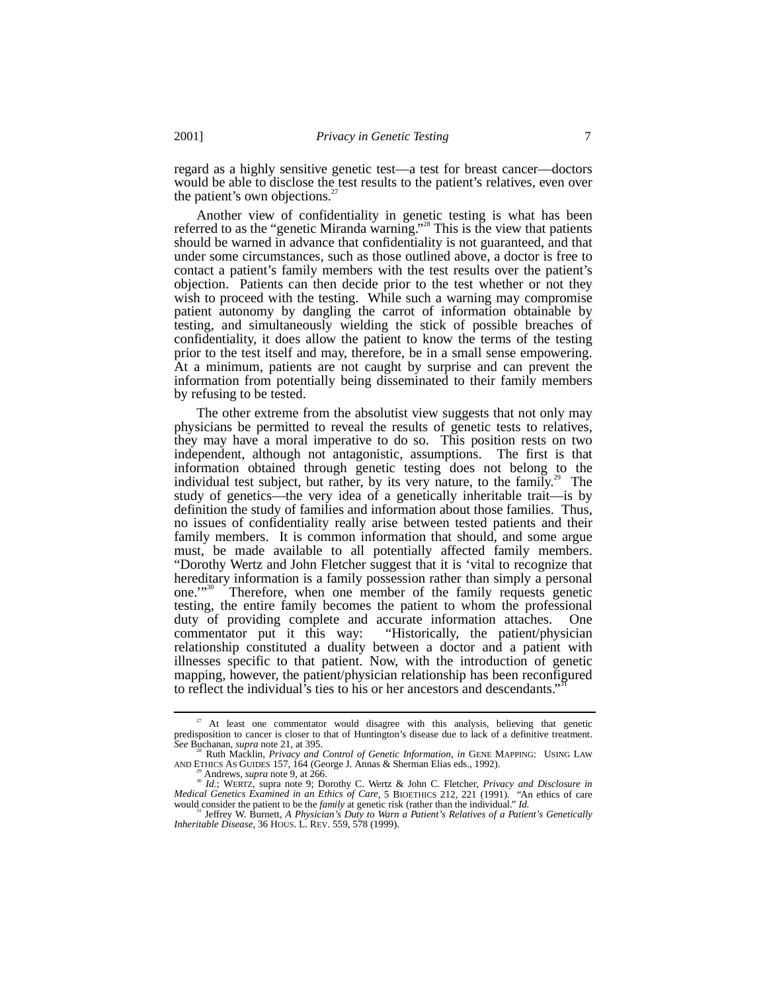regard as a highly sensitive genetic test––a test for breast cancer––doctors would be able to disclose the test results to the patient's relatives, even over the patient's own objections. $27$ 

Another view of confidentiality in genetic testing is what has been referred to as the "genetic Miranda warning."<sup>28</sup> This is the view that patients should be warned in advance that confidentiality is not guaranteed, and that under some circumstances, such as those outlined above, a doctor is free to contact a patient's family members with the test results over the patient's objection. Patients can then decide prior to the test whether or not they wish to proceed with the testing. While such a warning may compromise patient autonomy by dangling the carrot of information obtainable by testing, and simultaneously wielding the stick of possible breaches of confidentiality, it does allow the patient to know the terms of the testing prior to the test itself and may, therefore, be in a small sense empowering. At a minimum, patients are not caught by surprise and can prevent the information from potentially being disseminated to their family members by refusing to be tested.

The other extreme from the absolutist view suggests that not only may physicians be permitted to reveal the results of genetic tests to relatives, they may have a moral imperative to do so. This position rests on two independent, although not antagonistic, assumptions. The first is that information obtained through genetic testing does not belong to the individual test subject, but rather, by its very nature, to the family.<sup>29</sup> The study of genetics––the very idea of a genetically inheritable trait––is by definition the study of families and information about those families. Thus, no issues of confidentiality really arise between tested patients and their family members. It is common information that should, and some argue must, be made available to all potentially affected family members. "Dorothy Wertz and John Fletcher suggest that it is 'vital to recognize that hereditary information is a family possession rather than simply a personal one."<sup>30</sup> Therefore, when one member of the family requests genetic Therefore, when one member of the family requests genetic testing, the entire family becomes the patient to whom the professional duty of providing complete and accurate information attaches. One commentator put it this way: "Historically, the patient/physician relationship constituted a duality between a doctor and a patient with illnesses specific to that patient. Now, with the introduction of genetic mapping, however, the patient/physician relationship has been reconfigured to reflect the individual's ties to his or her ancestors and descendants."

<sup>&</sup>lt;sup>27</sup> At least one commentator would disagree with this analysis, believing that genetic predisposition to cancer is closer to that of Huntington's disease due to lack of a definitive treatment.<br>See Buchanan, supra note 21, at 395.

<sup>&</sup>lt;sup>28</sup> Ruth Macklin, *Privacy and Control of Genetic Information*, *in* GENE MAPPING: USING LAW AND ETHICS AS GUIDES 157, 164 (George J. Annas & Sherman Elias eds., 1992).

Andrews, *supra* note 9, at 266. 30<br><sup>30</sup> Andrews, *supra* note 9; Dorothy C. Wertz & John C. Fletcher, *Privacy and Disclosure in*<br><sup>30</sup> *Id.*; WERTZ, supra note 9; Dorothy C. Wertz & John C. Fletcher, *Privacy and Disclosu Medical Genetics Examined in an Ethics of Care*, 5 BIOETHICS 212, 221 (1991). "An ethics of care

would consider the patient to be the *family* at genetic risk (rather than the individual." *Id.* 31 Jeffrey W. Burnett, *A Physician's Duty to Warn a Patient's Relatives of a Patient's Genetically Inheritable Disease*, 36 HOUS. L. REV. 559, 578 (1999).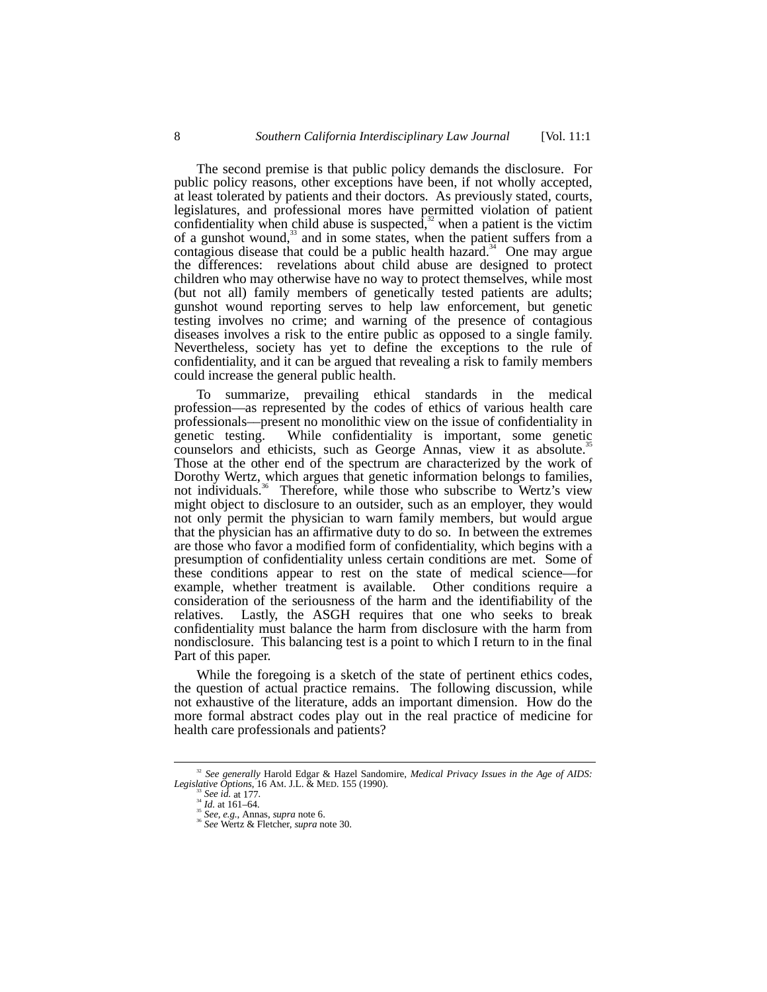The second premise is that public policy demands the disclosure. For public policy reasons, other exceptions have been, if not wholly accepted, at least tolerated by patients and their doctors. As previously stated, courts, legislatures, and professional mores have permitted violation of patient confidentiality when child abuse is suspected, $32$  when a patient is the victim of a gunshot wound,<sup>33</sup> and in some states, when the patient suffers from a contagious disease that could be a public health hazard.<sup>34</sup> One may argue the differences: revelations about child abuse are designed to protect children who may otherwise have no way to protect themselves, while most (but not all) family members of genetically tested patients are adults; gunshot wound reporting serves to help law enforcement, but genetic testing involves no crime; and warning of the presence of contagious diseases involves a risk to the entire public as opposed to a single family. Nevertheless, society has yet to define the exceptions to the rule of confidentiality, and it can be argued that revealing a risk to family members could increase the general public health.

To summarize, prevailing ethical standards in the medical profession––as represented by the codes of ethics of various health care professionals––present no monolithic view on the issue of confidentiality in genetic testing. While confidentiality is important, some genetic counselors and ethicists, such as George Annas, view it as absolute.<sup>3</sup> Those at the other end of the spectrum are characterized by the work of Dorothy Wertz, which argues that genetic information belongs to families, not individuals.<sup>36</sup> Therefore, while those who subscribe to Wertz's view might object to disclosure to an outsider, such as an employer, they would not only permit the physician to warn family members, but would argue that the physician has an affirmative duty to do so. In between the extremes are those who favor a modified form of confidentiality, which begins with a presumption of confidentiality unless certain conditions are met. Some of these conditions appear to rest on the state of medical science––for example, whether treatment is available. Other conditions require a consideration of the seriousness of the harm and the identifiability of the relatives. Lastly, the ASGH requires that one who seeks to break confidentiality must balance the harm from disclosure with the harm from nondisclosure. This balancing test is a point to which I return to in the final Part of this paper.

While the foregoing is a sketch of the state of pertinent ethics codes, the question of actual practice remains. The following discussion, while not exhaustive of the literature, adds an important dimension. How do the more formal abstract codes play out in the real practice of medicine for health care professionals and patients?

 <sup>32</sup> *See generally* Harold Edgar & Hazel Sandomire, *Medical Privacy Issues in the Age of AIDS:* Legislative Options, 16 AM. J.L. & MED. 155 (1990).<br>
<sup>33</sup> See id. at 177.<br>
<sup>34</sup> Id. at 161–64.<br>
<sup>35</sup> See, e.g., Annas, *supra* note 6.<br>
<sup>36</sup> See Wertz & Fletcher, *supra* note 30.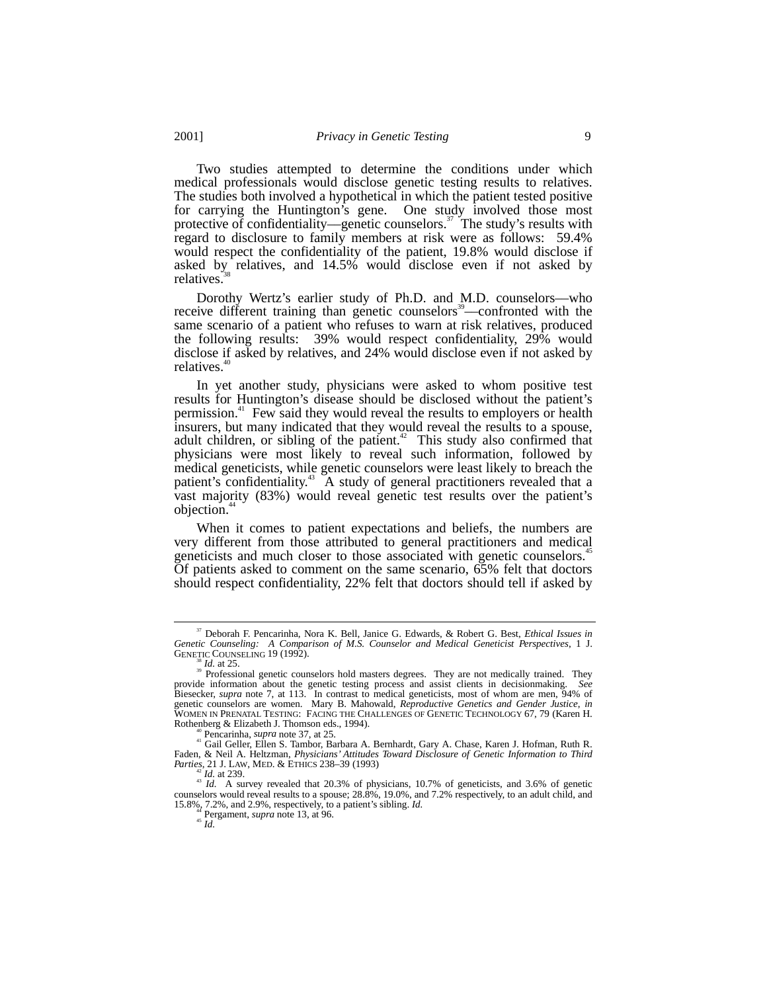Two studies attempted to determine the conditions under which medical professionals would disclose genetic testing results to relatives. The studies both involved a hypothetical in which the patient tested positive for carrying the Huntington's gene. One study involved those most protective of confidentiality—genetic counselors.<sup>37</sup> The study's results with regard to disclosure to family members at risk were as follows: 59.4% would respect the confidentiality of the patient, 19.8% would disclose if asked by relatives, and 14.5% would disclose even if not asked by relatives.

Dorothy Wertz's earlier study of Ph.D. and M.D. counselors––who receive different training than genetic counselors<sup>39</sup>—confronted with the same scenario of a patient who refuses to warn at risk relatives, produced the following results: 39% would respect confidentiality, 29% would disclose if asked by relatives, and 24% would disclose even if not asked by relatives.<sup>4</sup>

In yet another study, physicians were asked to whom positive test results for Huntington's disease should be disclosed without the patient's permission.<sup>41</sup> Few said they would reveal the results to employers or health insurers, but many indicated that they would reveal the results to a spouse, adult children, or sibling of the patient. $42$  This study also confirmed that physicians were most likely to reveal such information, followed by medical geneticists, while genetic counselors were least likely to breach the patient's confidentiality.<sup>43</sup> A study of general practitioners revealed that a vast majority (83%) would reveal genetic test results over the patient's objection.<sup>44</sup>

When it comes to patient expectations and beliefs, the numbers are very different from those attributed to general practitioners and medical geneticists and much closer to those associated with genetic counselors.<sup>45</sup> Of patients asked to comment on the same scenario, 65% felt that doctors should respect confidentiality, 22% felt that doctors should tell if asked by

 <sup>37</sup> Deborah F. Pencarinha, Nora K. Bell, Janice G. Edwards, & Robert G. Best, *Ethical Issues in Genetic Counseling: A Comparison of M.S. Counselor and Medical Geneticist Perspectives*, 1 J.

GENETIC COUNSELING 19 (1992).<br><sup>38</sup> *Id.* at 25. 39 Professional genetic counselors hold masters degrees. They are not medically trained. They provide information about the genetic testing process and assist clients in decisionmaking. *See* Biesecker, *supra* note 7, at 113. In contrast to medical geneticists, most of whom are men, 94% of genetic counselors are women. Mary B. Mahowald, *Reproductive Genetics and Gender Justice*, *in* WOMEN IN PRENATAL TESTING: FACING THE CHALLENGES OF GENETIC TECHNOLOGY 67, 79 (Karen H.

<sup>&</sup>lt;sup>40</sup> Pencarinha, *supra* note 37, at 25.<br><sup>41</sup> Gail Geller, Ellen S. Tambor, Barbara A. Bernhardt, Gary A. Chase, Karen J. Hofman, Ruth R. Faden, & Neil A. Heltzman, *Physicians' Attitudes Toward Disclosure of Genetic Information to Third*

<sup>&</sup>lt;sup>42</sup>*Id.* at 239. *Parties* 239. *Parties* 20.3% of physicians, 10.7% of geneticists, and 3.6% of geneticities counselors would reveal results to a spouse; 28.8%, 19.0%, and 7.2% respectively, to an adult child, and 15.8%, 7.2%, and 2.9%, respectively, to a patient's sibling. *Id.*  $^{44}$  Pergament, *supra* note 13, at 96.  $^{44}$  *Id.*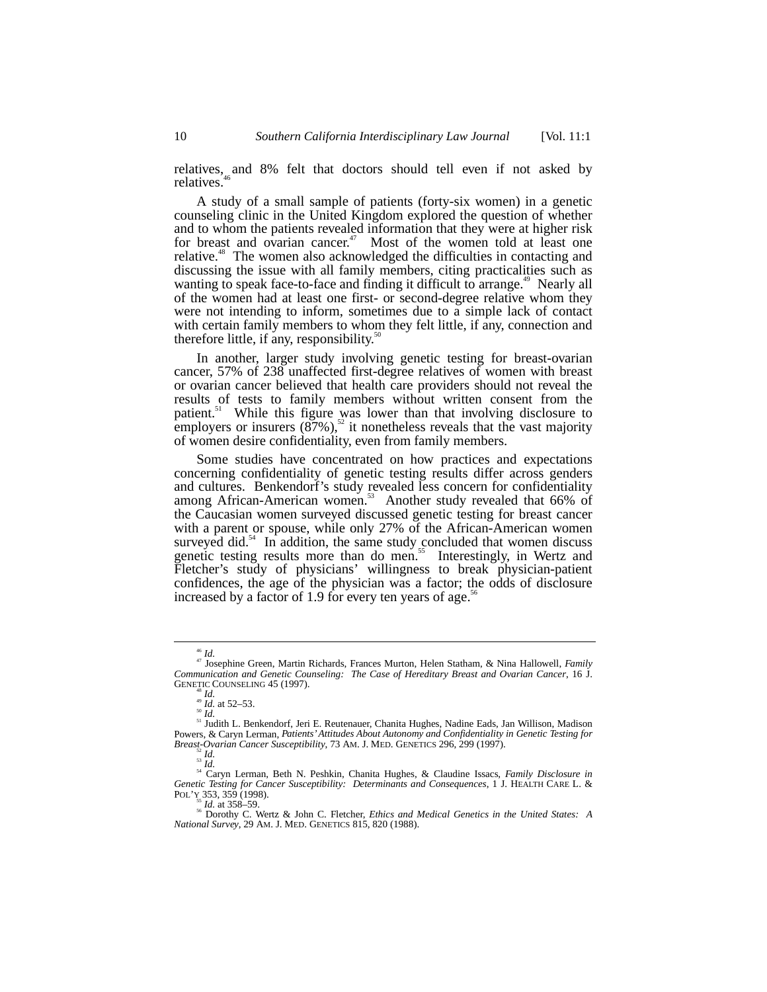relatives, and 8% felt that doctors should tell even if not asked by relatives.<sup>4</sup>

A study of a small sample of patients (forty-six women) in a genetic counseling clinic in the United Kingdom explored the question of whether and to whom the patients revealed information that they were at higher risk for breast and ovarian cancer.<sup>47</sup> Most of the women told at least one relative.48 The women also acknowledged the difficulties in contacting and discussing the issue with all family members, citing practicalities such as wanting to speak face-to-face and finding it difficult to arrange.<sup>49</sup> Nearly all of the women had at least one first- or second-degree relative whom they were not intending to inform, sometimes due to a simple lack of contact with certain family members to whom they felt little, if any, connection and therefore little, if any, responsibility. $50$ 

In another, larger study involving genetic testing for breast-ovarian cancer, 57% of 238 unaffected first-degree relatives of women with breast or ovarian cancer believed that health care providers should not reveal the results of tests to family members without written consent from the patient.<sup>31</sup> While this figure was lower than that involving disclosure to employers or insurers  $(\overline{87}\%)$ ,<sup>52</sup> it nonetheless reveals that the vast majority of women desire confidentiality, even from family members.

Some studies have concentrated on how practices and expectations concerning confidentiality of genetic testing results differ across genders and cultures. Benkendorf's study revealed less concern for confidentiality among African-American women.<sup>53</sup> Another study revealed that 66% of the Caucasian women surveyed discussed genetic testing for breast cancer with a parent or spouse, while only 27% of the African-American women surveyed did.<sup>54</sup> In addition, the same study concluded that women discuss genetic testing results more than do men.<sup>55</sup> Interestingly, in Wertz and Fletcher's study of physicians' willingness to break physician-patient confidences, the age of the physician was a factor; the odds of disclosure increased by a factor of 1.9 for every ten years of age.<sup>5</sup>

<sup>46</sup> *Id.* 47 Josephine Green, Martin Richards, Frances Murton, Helen Statham, & Nina Hallowell, *Family Communication and Genetic Counseling: The Case of Hereditary Breast and Ovarian Cancer*, 16 J.

GENETIC COUNSELING 45 (1997).<br>
<sup>48</sup> *Id. at*<br>
<sup>49</sup> *Id.* 452–53.<br>
<sup>51</sup> Judith L. Benkendorf, Jeri E. Reutenauer, Chanita Hughes, Nadine Eads, Jan Willison, Madison Powers, & Caryn Lerman, *Patients' Attitudes About Autonomy and Confidentiality in Genetic Testing for*

Breast-Ovarian Cancer Susceptibility, 73 AM. J. MED. GENETICS 296, 299 (1997).<br><sup>23</sup> Id.<br><sup>33</sup> Id.<br>Genetic Testing for Cancer Susceptibility: Determinants and Consequences, 1 J. HEALTH CARE L. & POL'Y 353, 359 (1998).<br> $Id.$  at 358–59.

<sup>55</sup> *Id.* at 358–59. 56 Dorothy C. Wertz & John C. Fletcher, *Ethics and Medical Genetics in the United States: A National Survey*, 29 AM. J. MED. GENETICS 815, 820 (1988).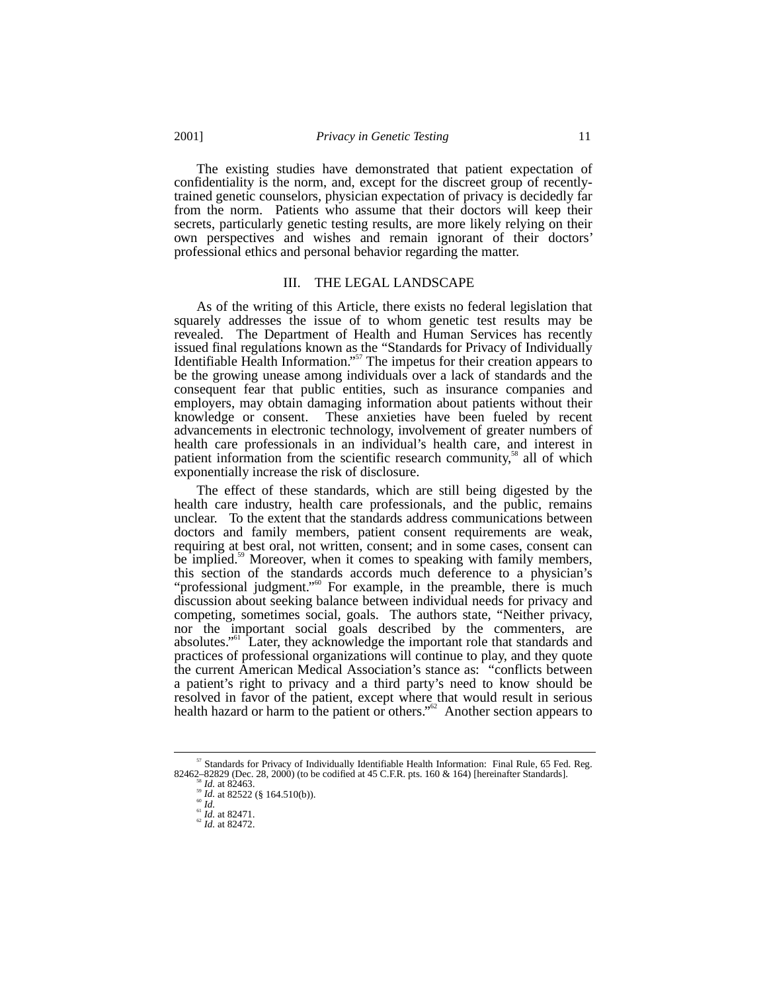The existing studies have demonstrated that patient expectation of confidentiality is the norm, and, except for the discreet group of recentlytrained genetic counselors, physician expectation of privacy is decidedly far from the norm. Patients who assume that their doctors will keep their secrets, particularly genetic testing results, are more likely relying on their own perspectives and wishes and remain ignorant of their doctors' professional ethics and personal behavior regarding the matter.

## III. THE LEGAL LANDSCAPE

As of the writing of this Article, there exists no federal legislation that squarely addresses the issue of to whom genetic test results may be revealed. The Department of Health and Human Services has recently issued final regulations known as the "Standards for Privacy of Individually Identifiable Health Information."<sup>57</sup> The impetus for their creation appears to be the growing unease among individuals over a lack of standards and the consequent fear that public entities, such as insurance companies and employers, may obtain damaging information about patients without their knowledge or consent. These anxieties have been fueled by recent advancements in electronic technology, involvement of greater numbers of health care professionals in an individual's health care, and interest in patient information from the scientific research community, $\frac{3}{8}$  all of which exponentially increase the risk of disclosure.

The effect of these standards, which are still being digested by the health care industry, health care professionals, and the public, remains unclear. To the extent that the standards address communications between doctors and family members, patient consent requirements are weak, requiring at best oral, not written, consent; and in some cases, consent can be implied.<sup>39</sup> Moreover, when it comes to speaking with family members, this section of the standards accords much deference to a physician's this section of the standards accords much deference to a physician's "professional judgment."<sup>60</sup> For example, in the preamble, there is much discussion about seeking balance between individual needs for privacy and competing, sometimes social, goals. The authors state, "Neither privacy, nor the important social goals described by the commenters, are absolutes."<sup>61</sup> Later, they acknowledge the important role that standards and practices of professional organizations will continue to play, and they quote the current American Medical Association's stance as: "conflicts between a patient's right to privacy and a third party's need to know should be resolved in favor of the patient, except where that would result in serious health hazard or harm to the patient or others."<sup>62</sup> Another section appears to

<sup>&</sup>lt;sup>57</sup> Standards for Privacy of Individually Identifiable Health Information: Final Rule, 65 Fed. Reg. 82462–82829 (Dec. 28, 2000) (to be codified at 45 C.F.R. pts. 160 & 164) [hereinafter Standards].

<sup>&</sup>lt;sup>38</sup> *Id.* at 82463. <sup>59</sup> *Id.* at 82522 (§ 164.510(b)).<br><sup>81</sup> *Id.* at 82522 (§ 164.510(b)). 6<sup>1</sup> *Id.* at 82471.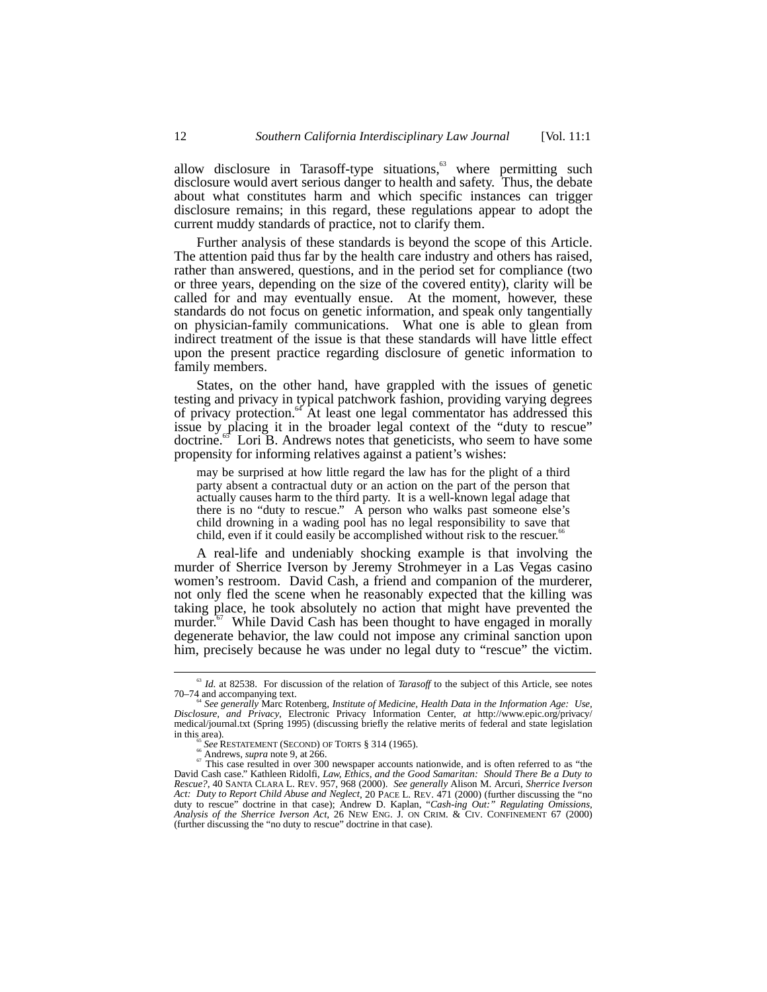allow disclosure in Tarasoff-type situations,<sup>63</sup> where permitting such disclosure would avert serious danger to health and safety. Thus, the debate about what constitutes harm and which specific instances can trigger disclosure remains; in this regard, these regulations appear to adopt the current muddy standards of practice, not to clarify them.

Further analysis of these standards is beyond the scope of this Article. The attention paid thus far by the health care industry and others has raised, rather than answered, questions, and in the period set for compliance (two or three years, depending on the size of the covered entity), clarity will be called for and may eventually ensue. At the moment, however, these standards do not focus on genetic information, and speak only tangentially on physician-family communications. What one is able to glean from indirect treatment of the issue is that these standards will have little effect upon the present practice regarding disclosure of genetic information to family members.

States, on the other hand, have grappled with the issues of genetic testing and privacy in typical patchwork fashion, providing varying degrees of privacy protection.<sup>64</sup> At least one legal commentator has addressed this issue by placing it in the broader legal context of the "duty to rescue" doctrine.<sup>65</sup> Lori B. Andrews notes that geneticists, who seem to have some propensity for informing relatives against a patient's wishes:

may be surprised at how little regard the law has for the plight of a third party absent a contractual duty or an action on the part of the person that actually causes harm to the third party. It is a well-known legal adage that there is no "duty to rescue." A person who walks past someone else's child drowning in a wading pool has no legal responsibility to save that child, even if it could easily be accomplished without risk to the rescuer.<sup>66</sup>

A real-life and undeniably shocking example is that involving the murder of Sherrice Iverson by Jeremy Strohmeyer in a Las Vegas casino women's restroom. David Cash, a friend and companion of the murderer, not only fled the scene when he reasonably expected that the killing was taking place, he took absolutely no action that might have prevented the murder.<sup>67</sup> While David Cash has been thought to have engaged in morally degenerate behavior, the law could not impose any criminal sanction upon him, precisely because he was under no legal duty to "rescue" the victim.

<sup>&</sup>lt;sup>63</sup> *Id.* at 82538. For discussion of the relation of *Tarasoff* to the subject of this Article, see notes 70–74 and accompanying text. <sup>64</sup> *See generally* Marc Rotenberg, *Institute of Medicine, Health Data in the Information Age: Use,*

*Disclosure, and Privacy*, Electronic Privacy Information Center, *at* http://www.epic.org/privacy/ medical/journal.txt (Spring 1995) (discussing briefly the relative merits of federal and state legislation in this area).<br>
<sup>65</sup> *See* RESTATEMENT (SECOND) OF TORTS § 314 (1965).<br>
<sup>66</sup> Andrews, *supra* note 9, at 266.<br>
<sup>67</sup> This case resulted in over 300 newspaper accounts nationwide, and is often referred to as "the

David Cash case." Kathleen Ridolfi, *Law, Ethics, and the Good Samaritan: Should There Be a Duty to Rescue?*, 40 SANTA CLARA L. REV. 957, 968 (2000). *See generally* Alison M. Arcuri, *Sherrice Iverson Act: Duty to Report Child Abuse and Neglect*, 20 PACE L. REV. 471 (2000) (further discussing the "no duty to rescue" doctrine in that case); Andrew D. Kaplan, "*Cash-ing Out:" Regulating Omissions, Analysis of the Sherrice Iverson Act*, 26 NEW ENG. J. ON CRIM. & CIV. CONFINEMENT 67 (2000) (further discussing the "no duty to rescue" doctrine in that case).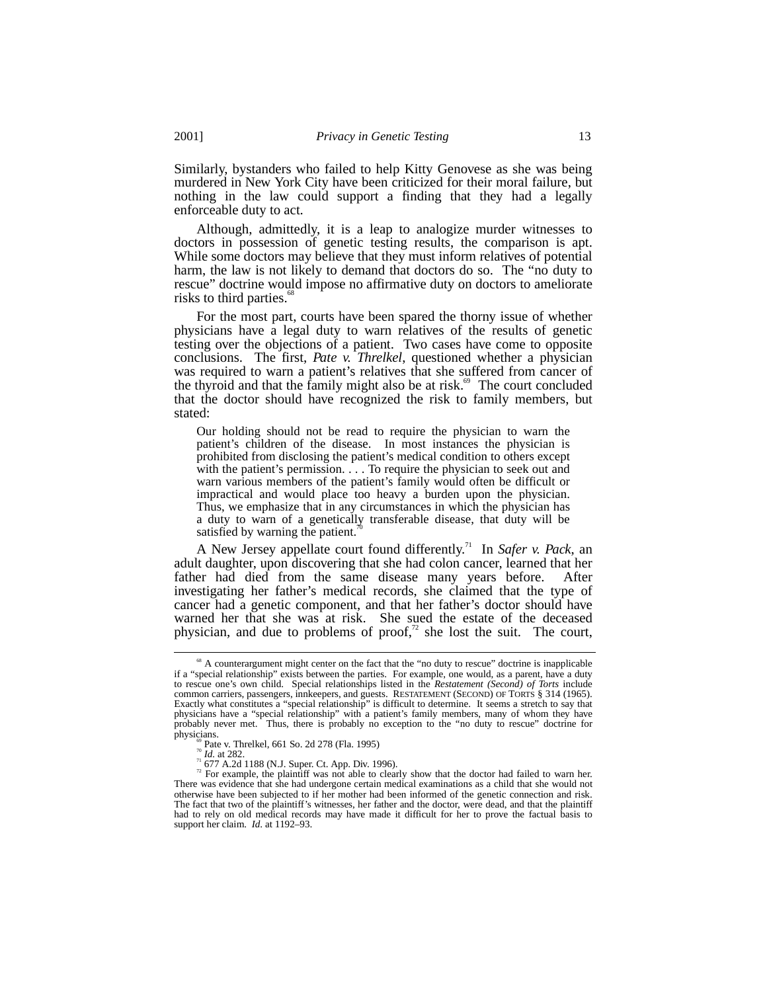Similarly, bystanders who failed to help Kitty Genovese as she was being murdered in New York City have been criticized for their moral failure, but nothing in the law could support a finding that they had a legally enforceable duty to act.

Although, admittedly, it is a leap to analogize murder witnesses to doctors in possession of genetic testing results, the comparison is apt. While some doctors may believe that they must inform relatives of potential harm, the law is not likely to demand that doctors do so. The "no duty to rescue" doctrine would impose no affirmative duty on doctors to ameliorate risks to third parties. $\degree$ 

For the most part, courts have been spared the thorny issue of whether physicians have a legal duty to warn relatives of the results of genetic testing over the objections of a patient. Two cases have come to opposite conclusions. The first, *Pate v. Threlkel*, questioned whether a physician was required to warn a patient's relatives that she suffered from cancer of the thyroid and that the family might also be at risk.<sup>69</sup> The court concluded that the doctor should have recognized the risk to family members, but stated:

Our holding should not be read to require the physician to warn the patient's children of the disease. In most instances the physician is prohibited from disclosing the patient's medical condition to others except with the patient's permission. . . . To require the physician to seek out and warn various members of the patient's family would often be difficult or impractical and would place too heavy a burden upon the physician. Thus, we emphasize that in any circumstances in which the physician has a duty to warn of a genetically transferable disease, that duty will be satisfied by warning the patient.

A New Jersey appellate court found differently.<sup>71</sup> In *Safer v. Pack*, an adult daughter, upon discovering that she had colon cancer, learned that her father had died from the same disease many years before. After investigating her father's medical records, she claimed that the type of cancer had a genetic component, and that her father's doctor should have warned her that she was at risk. She sued the estate of the deceased physician, and due to problems of proof, $\alpha$ <sup>7</sup> she lost the suit. The court,

<sup>&</sup>lt;sup>68</sup> A counterargument might center on the fact that the "no duty to rescue" doctrine is inapplicable if a "special relationship" exists between the parties. For example, one would, as a parent, have a duty to rescue one's own child. Special relationships listed in the *Restatement (Second) of Torts* include common carriers, passengers, innkeepers, and guests. RESTATEMENT (SECOND) OF TORTS § 314 (1965). Exactly what constitutes a "special relationship" is difficult to determine. It seems a stretch to say that physicians have a "special relationship" with a patient's family members, many of whom they have probably never met. Thus, there is probably no exception to the "no duty to rescue" doctrine for

physicians.<br>
<sup>*m*</sup> Pate v. Threlkel, 661 So. 2d 278 (Fla. 1995)<br>
<sup>*m*</sup> *Id.* at 282.<br>
<sup>*n</sup>* 677 A.2d 1188 (N.J. Super. Ct. App. Div. 1996).<br>
For example, the plaintiff was not able to clearly show that the doctor had fail</sup> otherwise have been subjected to if her mother had been informed of the genetic connection and risk. The fact that two of the plaintiff's witnesses, her father and the doctor, were dead, and that the plaintiff had to rely on old medical records may have made it difficult for her to prove the factual basis to support her claim. *Id*. at 1192–93.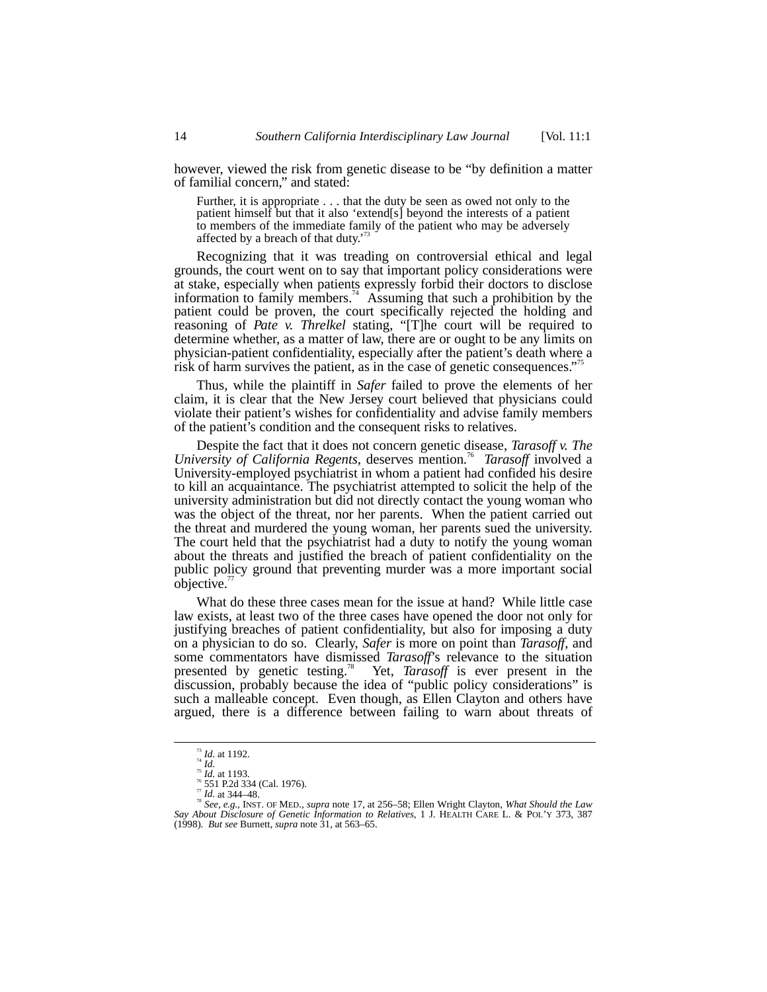however, viewed the risk from genetic disease to be "by definition a matter of familial concern," and stated:

Further, it is appropriate . . . that the duty be seen as owed not only to the patient himself but that it also 'extend[s] beyond the interests of a patient to members of the immediate family of the patient who may be adversely affected by a breach of that duty.'

Recognizing that it was treading on controversial ethical and legal grounds, the court went on to say that important policy considerations were at stake, especially when patients expressly forbid their doctors to disclose information to family members.<sup>74</sup> Assuming that such a prohibition by the patient could be proven, the court specifically rejected the holding and reasoning of *Pate v. Threlkel* stating, "[T]he court will be required to determine whether, as a matter of law, there are or ought to be any limits on physician-patient confidentiality, especially after the patient's death where a risk of harm survives the patient, as in the case of genetic consequences." 75

Thus, while the plaintiff in *Safer* failed to prove the elements of her claim, it is clear that the New Jersey court believed that physicians could violate their patient's wishes for confidentiality and advise family members of the patient's condition and the consequent risks to relatives.

Despite the fact that it does not concern genetic disease, *Tarasoff v. The University of California Regents*, deserves mention*.* 76 *Tarasoff* involved a University-employed psychiatrist in whom a patient had confided his desire to kill an acquaintance. The psychiatrist attempted to solicit the help of the university administration but did not directly contact the young woman who was the object of the threat, nor her parents. When the patient carried out the threat and murdered the young woman, her parents sued the university. The court held that the psychiatrist had a duty to notify the young woman about the threats and justified the breach of patient confidentiality on the public policy ground that preventing murder was a more important social objective."

What do these three cases mean for the issue at hand? While little case law exists, at least two of the three cases have opened the door not only for justifying breaches of patient confidentiality, but also for imposing a duty on a physician to do so. Clearly, *Safer* is more on point than *Tarasoff*, and some commentators have dismissed *Tarasoff*'s relevance to the situation presented by genetic testing.78 Yet, *Tarasoff* is ever present in the discussion, probably because the idea of "public policy considerations" is such a malleable concept. Even though, as Ellen Clayton and others have argued, there is a difference between failing to warn about threats of

<sup>&</sup>lt;sup>73</sup> Id. at 1192.<br>
<sup>74</sup> Id.<br>
<sup>75</sup> Id. at 1193.<br>
<sup>76</sup> S51 P.2d 334 (Cal. 1976).<br>
<sup>77</sup> Id. at 344-48.<br>
<sup>78</sup> See, e.g., INST. OF MED., supra note 17, at 256–58; Ellen Wright Clayton, *What Should the Law*<br>
Say About Disclosu (1998). *But see* Burnett, *supra* note 31, at 563–65.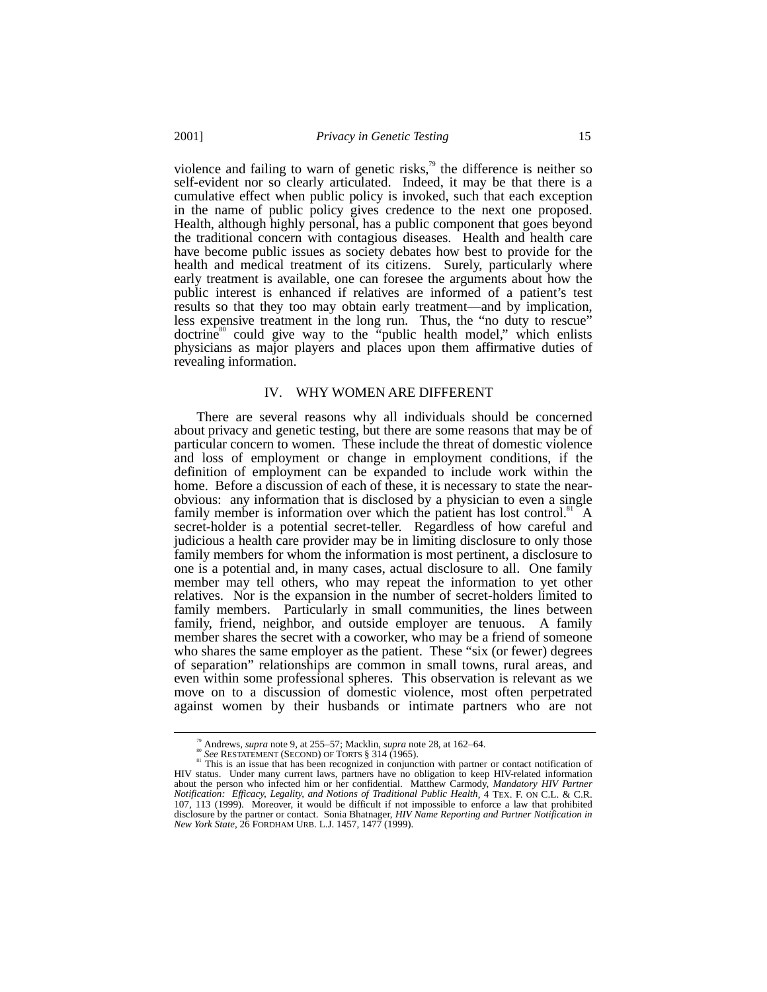violence and failing to warn of genetic risks, $\beta$  the difference is neither so self-evident nor so clearly articulated. Indeed, it may be that there is a cumulative effect when public policy is invoked, such that each exception in the name of public policy gives credence to the next one proposed. Health, although highly personal, has a public component that goes beyond the traditional concern with contagious diseases. Health and health care have become public issues as society debates how best to provide for the health and medical treatment of its citizens. Surely, particularly where early treatment is available, one can foresee the arguments about how the public interest is enhanced if relatives are informed of a patient's test results so that they too may obtain early treatment––and by implication, less expensive treatment in the long run. Thus, the "no duty to rescue" doctrine<sup>80</sup> could give way to the "public health model," which enlists physicians as major players and places upon them affirmative duties of revealing information.

### IV. WHY WOMEN ARE DIFFERENT

There are several reasons why all individuals should be concerned about privacy and genetic testing, but there are some reasons that may be of particular concern to women. These include the threat of domestic violence and loss of employment or change in employment conditions, if the definition of employment can be expanded to include work within the home. Before a discussion of each of these, it is necessary to state the nearobvious: any information that is disclosed by a physician to even a single family member is information over which the patient has lost control.<sup>81</sup> A secret-holder is a potential secret-teller. Regardless of how careful and judicious a health care provider may be in limiting disclosure to only those family members for whom the information is most pertinent, a disclosure to one is a potential and, in many cases, actual disclosure to all. One family member may tell others, who may repeat the information to yet other relatives. Nor is the expansion in the number of secret-holders limited to family members. Particularly in small communities, the lines between family, friend, neighbor, and outside employer are tenuous. A family member shares the secret with a coworker, who may be a friend of someone who shares the same employer as the patient. These "six (or fewer) degrees of separation" relationships are common in small towns, rural areas, and even within some professional spheres. This observation is relevant as we move on to a discussion of domestic violence, most often perpetrated against women by their husbands or intimate partners who are not

<sup>&</sup>lt;sup>79</sup> Andrews, *supra* note 9, at 255–57; Macklin, *supra* note 28, at 162–64.<br><sup>80</sup> See RESTATEMENT (SECOND) OF TORTS § 314 (1965).<br><sup>81</sup> This is an issue that has been recognized in conjunction with partner or contact noti

HIV status. Under many current laws, partners have no obligation to keep HIV-related information about the person who infected him or her confidential. Matthew Carmody, *Mandatory HIV Partner Notification: Efficacy, Legality, and Notions of Traditional Public Health*, 4 TEX. F. ON C.L. & C.R. 107, 113 (1999). Moreover, it would be difficult if not impossible to enforce a law that prohibited disclosure by the partner or contact. Sonia Bhatnager, *HIV Name Reporting and Partner Notification in New York State*, 26 FORDHAM URB. L.J. 1457, 1477 (1999).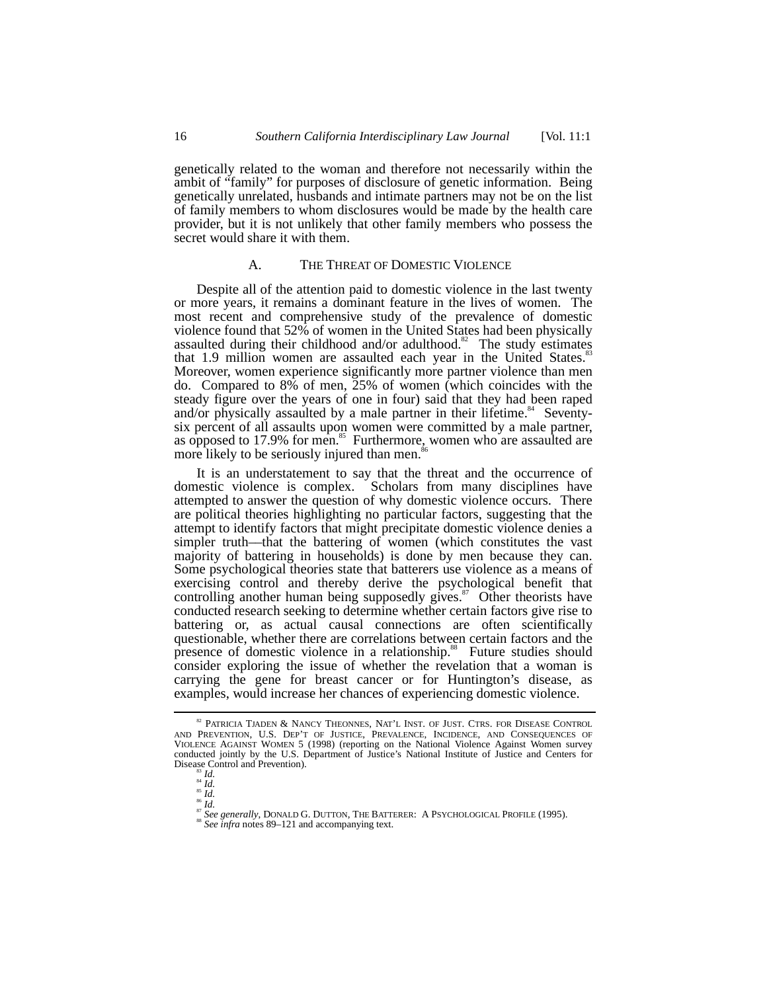genetically related to the woman and therefore not necessarily within the ambit of "family" for purposes of disclosure of genetic information. Being genetically unrelated, husbands and intimate partners may not be on the list of family members to whom disclosures would be made by the health care provider, but it is not unlikely that other family members who possess the secret would share it with them.

## A. THE THREAT OF DOMESTIC VIOLENCE

Despite all of the attention paid to domestic violence in the last twenty or more years, it remains a dominant feature in the lives of women. The most recent and comprehensive study of the prevalence of domestic violence found that 52% of women in the United States had been physically assaulted during their childhood and/or adulthood.<sup>82</sup> The study estimates that 1.9 million women are assaulted each year in the United States. $\frac{8}{3}$ Moreover, women experience significantly more partner violence than men do. Compared to 8% of men, 25% of women (which coincides with the steady figure over the years of one in four) said that they had been raped and/or physically assaulted by a male partner in their lifetime.<sup>84</sup> Seventysix percent of all assaults upon women were committed by a male partner, as opposed to 17.9% for men.<sup>85</sup> Furthermore, women who are assaulted are more likely to be seriously injured than men.<sup>8</sup>

It is an understatement to say that the threat and the occurrence of domestic violence is complex. Scholars from many disciplines have attempted to answer the question of why domestic violence occurs. There are political theories highlighting no particular factors, suggesting that the attempt to identify factors that might precipitate domestic violence denies a simpler truth––that the battering of women (which constitutes the vast majority of battering in households) is done by men because they can. Some psychological theories state that batterers use violence as a means of exercising control and thereby derive the psychological benefit that controlling another human being supposedly gives.<sup>87</sup> Other theorists have conducted research seeking to determine whether certain factors give rise to battering or, as actual causal connections are often scientifically questionable, whether there are correlations between certain factors and the presence of domestic violence in a relationship.<sup>88</sup> Future studies should consider exploring the issue of whether the revelation that a woman is carrying the gene for breast cancer or for Huntington's disease, as examples, would increase her chances of experiencing domestic violence.

 $^{\text{\tiny \$2}}$  PATRICIA TJADEN & NANCY THEONNES, NAT'L INST. OF JUST. CTRS. FOR DISEASE CONTROL AND PREVENTION, U.S. DEP'T OF JUSTICE, PREVALENCE, INCIDENCE, AND CONSEQUENCES OF VIOLENCE AGAINST WOMEN 5 (1998) (reporting on the National Violence Against Women survey conducted jointly by the U.S. Department of Justice's National Institute of Justice and Centers for Disease Control and Prevention).

Disease Control and Prevention). <sup>83</sup> *Id.* <sup>84</sup> *Id.* <sup>85</sup> *Id.* <sup>86</sup> *Id.* <sup>87</sup> *See generally*, DONALD G. DUTTON, THE BATTERER: A PSYCHOLOGICAL PROFILE (1995). <sup>88</sup> *See infra* notes 89–121 and accompanying text.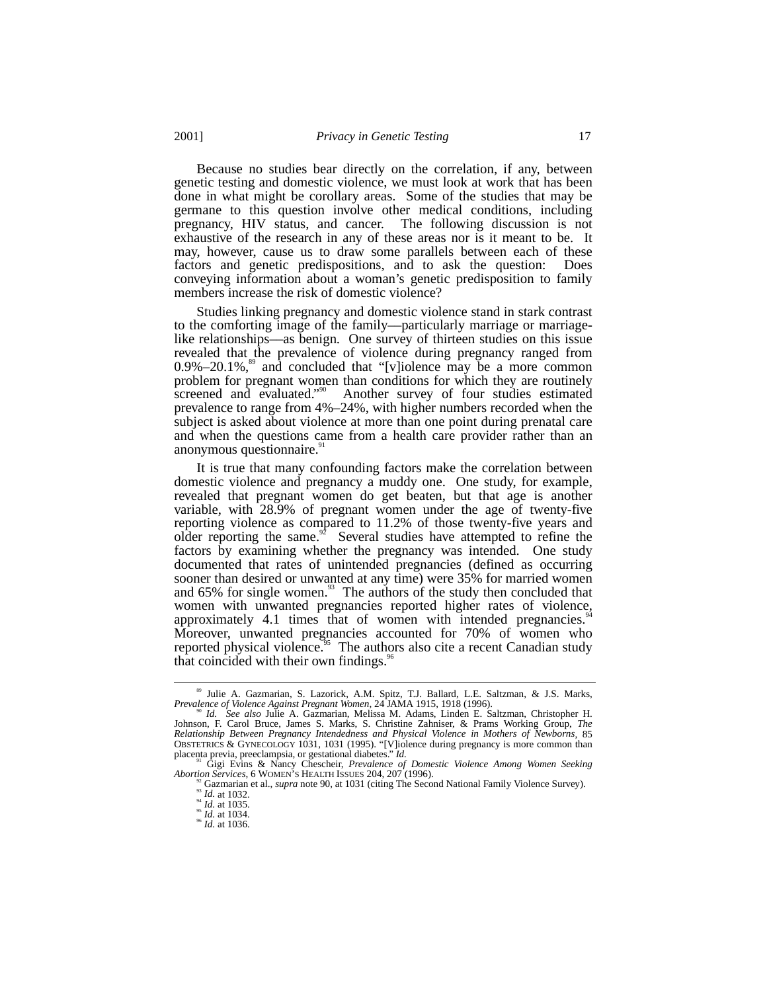Because no studies bear directly on the correlation, if any, between genetic testing and domestic violence, we must look at work that has been done in what might be corollary areas. Some of the studies that may be germane to this question involve other medical conditions, including pregnancy, HIV status, and cancer. The following discussion is not exhaustive of the research in any of these areas nor is it meant to be. It may, however, cause us to draw some parallels between each of these factors and genetic predispositions, and to ask the question: Does conveying information about a woman's genetic predisposition to family members increase the risk of domestic violence?

Studies linking pregnancy and domestic violence stand in stark contrast to the comforting image of the family––particularly marriage or marriagelike relationships––as benign. One survey of thirteen studies on this issue revealed that the prevalence of violence during pregnancy ranged from  $0.9\% - 20.1\%$ , and concluded that "[v]iolence may be a more common problem for pregnant women than conditions for which they are routinely screened and evaluated."<sup>90</sup> Another survey of four studies estimated prevalence to range from 4%–24%, with higher numbers recorded when the subject is asked about violence at more than one point during prenatal care and when the questions came from a health care provider rather than an anonymous questionnaire.<sup>9</sup>

It is true that many confounding factors make the correlation between domestic violence and pregnancy a muddy one. One study, for example, revealed that pregnant women do get beaten, but that age is another variable, with 28.9% of pregnant women under the age of twenty-five reporting violence as compared to 11.2% of those twenty-five years and older reporting the same.<sup>92</sup> Several studies have attempted to refine the factors by examining whether the pregnancy was intended. One study documented that rates of unintended pregnancies (defined as occurring sooner than desired or unwanted at any time) were 35% for married women and  $65\%$  for single women.<sup>93</sup> The authors of the study then concluded that women with unwanted pregnancies reported higher rates of violence, approximately 4.1 times that of women with intended pregnancies.<sup>9</sup> Moreover, unwanted pregnancies accounted for 70% of women who reported physical violence.<sup>95</sup> The authors also cite a recent Canadian study that coincided with their own findings.<sup>96</sup>

<sup>&</sup>lt;sup>89</sup> Julie A. Gazmarian, S. Lazorick, A.M. Spitz, T.J. Ballard, L.E. Saltzman, & J.S. Marks, *Prevalence of Violence Against Pregnant Women*, 24 JAMA 1915, 1918 (1996).

Prevalence of Violence Against Pregnant Women, 24 JAMA 1915, 1918 (1996).<br><sup>90</sup> Id. See also Julie A. Gazmarian, Melissa M. Adams, Linden E. Saltzman, Christopher H. Johnson, F. Carol Bruce, James S. Marks, S. Christine Zah *Relationship Between Pregnancy Intendedness and Physical Violence in Mothers of Newborns*, 85 OBSTETRICS & GYNECOLOGY 1031, 1031 (1995). "[V]iolence during pregnancy is more common than placenta previa, preeclampsia, or gestational diabetes." *Id.* 

placenta previa, previa, previa previational diabetes. *Prevalence of Domestic Violence Among Women Seeking*<br>Abortion Services. 6 WOMEN'S HEALTH ISSUES 204. 207 (1996).

<sup>&</sup>lt;sup>32</sup> Gazmarian et al., *supra* note 90, at 1031 (citing The Second National Family Violence Survey).<br><sup>35</sup> *Id.* at 1032.<br><sup>34</sup> *Id.* at 1035.<br><sup>35</sup> *Id.* at 1035.<br><sup>35</sup> *Id.* at 1034.<br><sup>36</sup> *Id.* at 1034.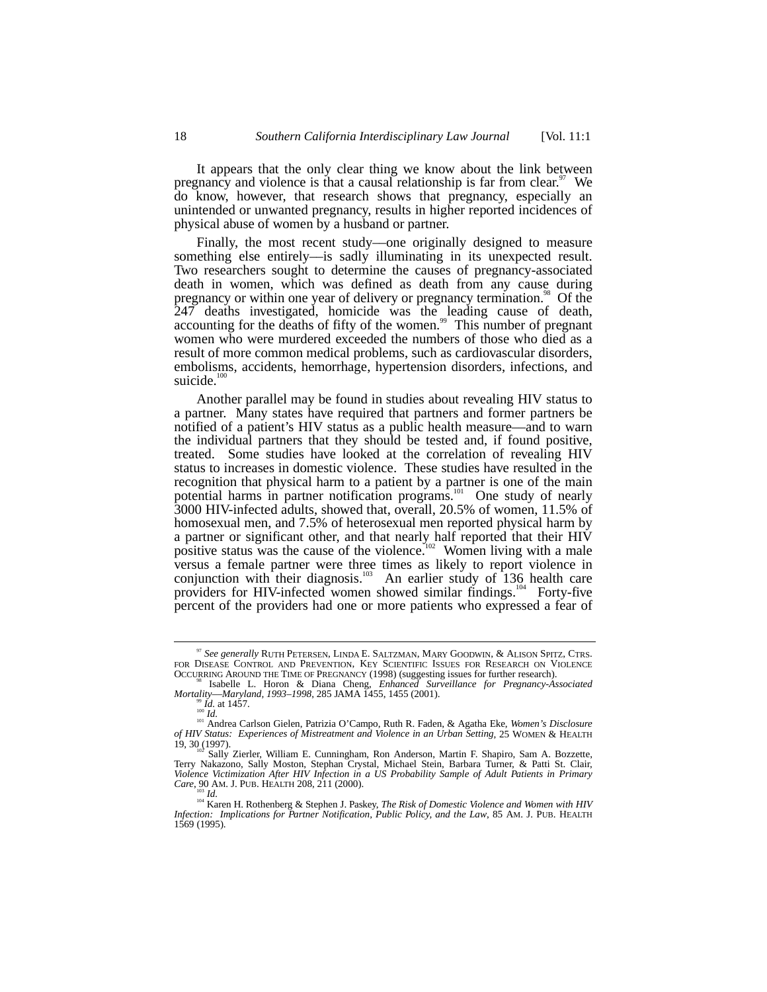It appears that the only clear thing we know about the link between pregnancy and violence is that a causal relationship is far from clear.<sup>97</sup> We do know, however, that research shows that pregnancy, especially an unintended or unwanted pregnancy, results in higher reported incidences of physical abuse of women by a husband or partner.

Finally, the most recent study—one originally designed to measure something else entirely––is sadly illuminating in its unexpected result. Two researchers sought to determine the causes of pregnancy-associated death in women, which was defined as death from any cause during pregnancy or within one year of delivery or pregnancy termination.<sup>98</sup> Of the 247 deaths investigated, homicide was the leading cause of death, accounting for the deaths of fifty of the women.<sup>99</sup> This number of pregnant women who were murdered exceeded the numbers of those who died as a result of more common medical problems, such as cardiovascular disorders, embolisms, accidents, hemorrhage, hypertension disorders, infections, and suicide. $100$ 

Another parallel may be found in studies about revealing HIV status to a partner. Many states have required that partners and former partners be notified of a patient's HIV status as a public health measure––and to warn the individual partners that they should be tested and, if found positive, treated. Some studies have looked at the correlation of revealing HIV status to increases in domestic violence. These studies have resulted in the recognition that physical harm to a patient by a partner is one of the main potential harms in partner notification programs.<sup>101</sup> One study of nearly 3000 HIV-infected adults, showed that, overall, 20.5% of women, 11.5% of homosexual men, and 7.5% of heterosexual men reported physical harm by a partner or significant other, and that nearly half reported that their HIV positive status was the cause of the violence.<sup>102</sup> Women living with a male versus a female partner were three times as likely to report violence in conjunction with their diagnosis.<sup>103</sup> An earlier study of 136 health care conjunction with their diagnosis.<sup>103</sup> providers for HIV-infected women showed similar findings.<sup>104</sup> Forty-five percent of the providers had one or more patients who expressed a fear of

<sup>&</sup>lt;sup>97</sup> See generally RUTH PETERSEN, LINDA E. SALTZMAN, MARY GOODWIN, & ALISON SPITZ, CTRS. FOR DISEASE CONTROL AND PREVENTION, KEY SCIENTIFIC ISSUES FOR RESEARCH ON VIOLENCE OCCURRING AROUND THE TIME OF PREGNANCY (1998) (sug

<sup>&</sup>lt;sup>98</sup> Isabelle L. Horon & Diana Cheng, *Enhanced Surveillance for Pregnancy-Associated Mortality—Maryland, 1993–1998*, 285 JAMA 1455, 1455 (2001).

<sup>&</sup>lt;sup>99</sup>*Id.* at 1457.<br><sup>100</sup> Id. at 1457.<br><sup>101</sup> Andrea Carlson Gielen, Patrizia O'Campo, Ruth R. Faden, & Agatha Eke, *Women's Disclosure of HIV Status: Experiences of Mistreatment and Violence in an Urban Setting*, 25 WOMEN & HEALTH 19, 30 (1997).

<sup>19, 30 (1997).</sup> 102 Sally Zierler, William E. Cunningham, Ron Anderson, Martin F. Shapiro, Sam A. Bozzette, Terry Nakazono, Sally Moston, Stephan Crystal, Michael Stein, Barbara Turner, & Patti St. Clair, *Violence Victimization After HIV Infection in a US Probability Sample of Adult Patients in Primary*

Care, 90 AM. J. PUB. HEALTH 208, 211 (2000).<br><sup>103</sup> Id.<br><sup>104</sup> Karen H. Rothenberg & Stephen J. Paskey, *The Risk of Domestic Violence and Women with HIV*<br>Infection: Implications for Partner Notification, Public Policy, and 1569 (1995).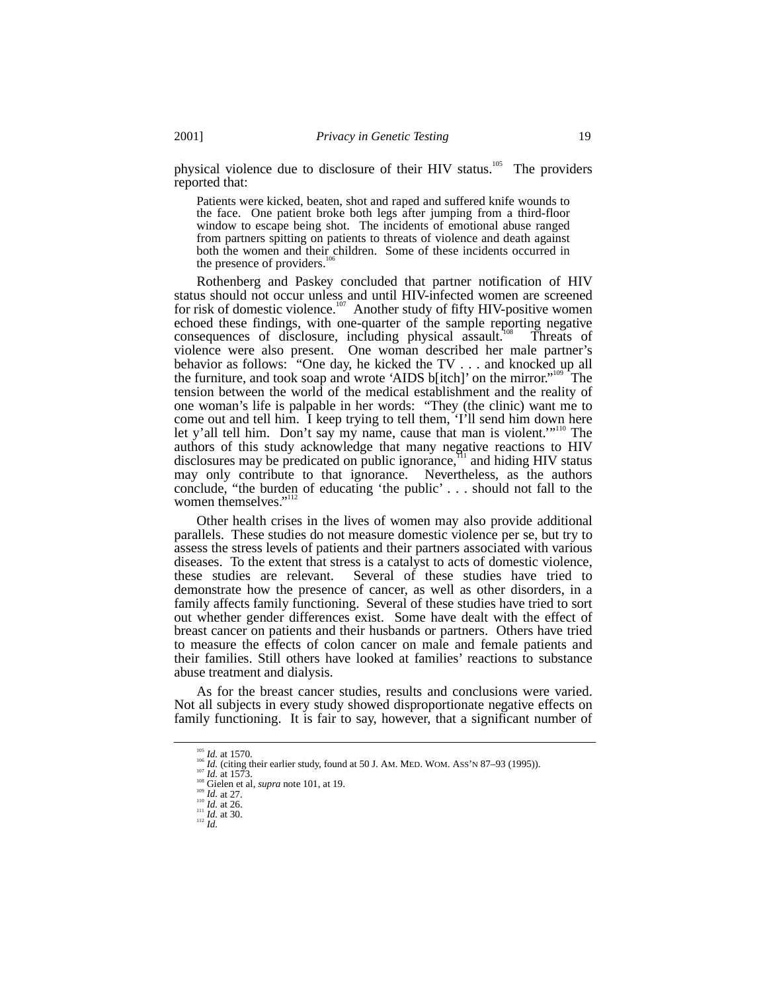physical violence due to disclosure of their HIV status.<sup>105</sup> The providers reported that:

Patients were kicked, beaten, shot and raped and suffered knife wounds to the face. One patient broke both legs after jumping from a third-floor window to escape being shot. The incidents of emotional abuse ranged from partners spitting on patients to threats of violence and death against both the women and their children. Some of these incidents occurred in the presence of providers.<sup>1</sup>

Rothenberg and Paskey concluded that partner notification of HIV status should not occur unless and until HIV-infected women are screened for risk of domestic violence.<sup>107</sup> Another study of fifty HIV-positive women echoed these findings, with one-quarter of the sample reporting negative consequences of disclosure, including physical assault.<sup>108</sup> Threats of violence were also present. One woman described her male partner's behavior as follows: "One day, he kicked the TV . . . and knocked up all the furniture, and took soap and wrote 'AIDS b[itch]' on the mirror."<sup>109</sup> The tension between the world of the medical establishment and the reality of one woman's life is palpable in her words: "They (the clinic) want me to come out and tell him. I keep trying to tell them, 'I'll send him down here let y'all tell him. Don't say my name, cause that man is violent.'"110 The authors of this study acknowledge that many negative reactions to HIV disclosures may be predicated on public ignorance, $\frac{1}{11}$  and hiding HIV status may only contribute to that ignorance. Nevertheless, as the authors conclude, "the burden of educating 'the public' . . . should not fall to the women themselves."<sup>112</sup>

Other health crises in the lives of women may also provide additional parallels. These studies do not measure domestic violence per se, but try to assess the stress levels of patients and their partners associated with various diseases. To the extent that stress is a catalyst to acts of domestic violence, these studies are relevant. Several of these studies have tried to demonstrate how the presence of cancer, as well as other disorders, in a family affects family functioning. Several of these studies have tried to sort out whether gender differences exist. Some have dealt with the effect of breast cancer on patients and their husbands or partners. Others have tried to measure the effects of colon cancer on male and female patients and their families. Still others have looked at families' reactions to substance abuse treatment and dialysis.

As for the breast cancer studies, results and conclusions were varied. Not all subjects in every study showed disproportionate negative effects on family functioning. It is fair to say, however, that a significant number of

<sup>&</sup>lt;sup>105</sup> *Id.* at 1570.<br><sup>106</sup> *Id.* (citing their earlier study, found at 50 J. AM. MED. WOM. ASS'N 87–93 (1995)).<br><sup>106</sup> *Id.* at 1573.<br><sup>108</sup> *Id.* at 27.<br><sup>109</sup> *Id.* at 27.<br><sup>109</sup> *Id.* at 27.<br><sup>110</sup> *Id.* at 26.<br><sup>111</sup> *Id.*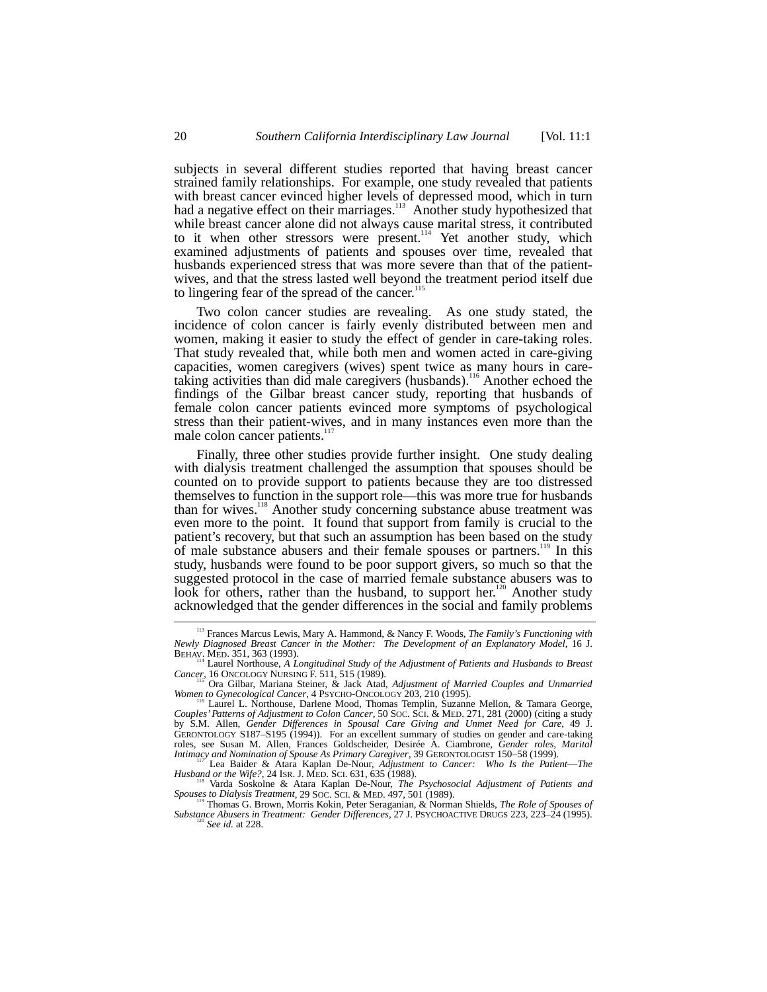subjects in several different studies reported that having breast cancer strained family relationships. For example, one study revealed that patients with breast cancer evinced higher levels of depressed mood, which in turn had a negative effect on their marriages.<sup>113</sup> Another study hypothesized that while breast cancer alone did not always cause marital stress, it contributed to it when other stressors were present.<sup>114</sup> Yet another study, which examined adjustments of patients and spouses over time, revealed that husbands experienced stress that was more severe than that of the patientwives, and that the stress lasted well beyond the treatment period itself due to lingering fear of the spread of the cancer.<sup>1</sup>

Two colon cancer studies are revealing. As one study stated, the incidence of colon cancer is fairly evenly distributed between men and women, making it easier to study the effect of gender in care-taking roles. That study revealed that, while both men and women acted in care-giving capacities, women caregivers (wives) spent twice as many hours in caretaking activities than did male caregivers (husbands).<sup>116</sup> Another echoed the findings of the Gilbar breast cancer study, reporting that husbands of female colon cancer patients evinced more symptoms of psychological stress than their patient-wives, and in many instances even more than the male colon cancer patients.<sup>11</sup>

Finally, three other studies provide further insight. One study dealing with dialysis treatment challenged the assumption that spouses should be counted on to provide support to patients because they are too distressed themselves to function in the support role––this was more true for husbands than for wives.<sup>118</sup> Another study concerning substance abuse treatment was even more to the point. It found that support from family is crucial to the patient's recovery, but that such an assumption has been based on the study of male substance abusers and their female spouses or partners.<sup>119</sup> In this study, husbands were found to be poor support givers, so much so that the suggested protocol in the case of married female substance abusers was to look for others, rather than the husband, to support her.<sup>120</sup> Another study acknowledged that the gender differences in the social and family problems

 <sup>113</sup> Frances Marcus Lewis, Mary A. Hammond, & Nancy F. Woods, *The Family's Functioning with Newly Diagnosed Breast Cancer in the Mother: The Development of an Explanatory Model*, 16 J.

BEHAV. MED. 351, 363 (1993).<br>
<sup>114</sup> Laurel Northouse, *A Longitudinal Study of the Adjustment of Patients and Husbands to Breast*<br> *Cancer*, 16 ONCOLOGY NURSING F. 511, 515 (1989).

<sup>&</sup>lt;sup>115</sup> Ora Gilbar, Mariana Steiner, & Jack Atad, *Adjustment of Married Couples and Unmarried Women to Gynecological Cancer*, 4 PSYCHO-ONCOLOGY 203, 210 (1995).

<sup>&</sup>lt;sup>116</sup> Laurel L. Northouse, Darlene Mood, Thomas Templin, Suzanne Mellon, & Tamara George, *Couples' Patterns of Adjustment to Colon Cancer*, 50 SOC. SCI. & MED. 271, 281 (2000) (citing a study by S.M. Allen, *Gender Differences in Spousal Care Giving and Unmet Need for Care*, 49 J. GERONTOLOGY S187–S195 (1994)). For an excellent summary of studies on gender and care-taking roles, see Susan M. Allen, Frances Goldscheider, Desirée A. Ciambrone, *Gender roles, Marital Intimacy and Nomination of Spouse As Primary Caregiver*, 39 GERONTOLOGIST 150–58 (1999).

Lea Baider & Atara Kaplan De-Nour, *Adjustment to Cancer: Who Is the Patient––The Husband or the Wife?*, 24 ISR. J. MED. SCI. 631, 635 (1988).<br>
<sup>118</sup> Varda Soskolne & Atara Kaplan De-Nour, *The Psychosocial Adjustment of Patients and*<br> *Spouses to Dialysis Treatment,* 29 Soc. Sci. & MED. 497, 501 (1989

*Spouses to Dialysis Treatment*, 29 SOC. SCI. & MED. 497, 501 (1989). 119 Thomas G. Brown, Morris Kokin, Peter Seraganian, & Norman Shields, *The Role of Spouses of*

*Substance Abusers in Treatment: Gender Differences*, 27 J. PSYCHOACTIVE DRUGS 223, 223–24 (1995). <sup>120</sup> *See id.* at 228.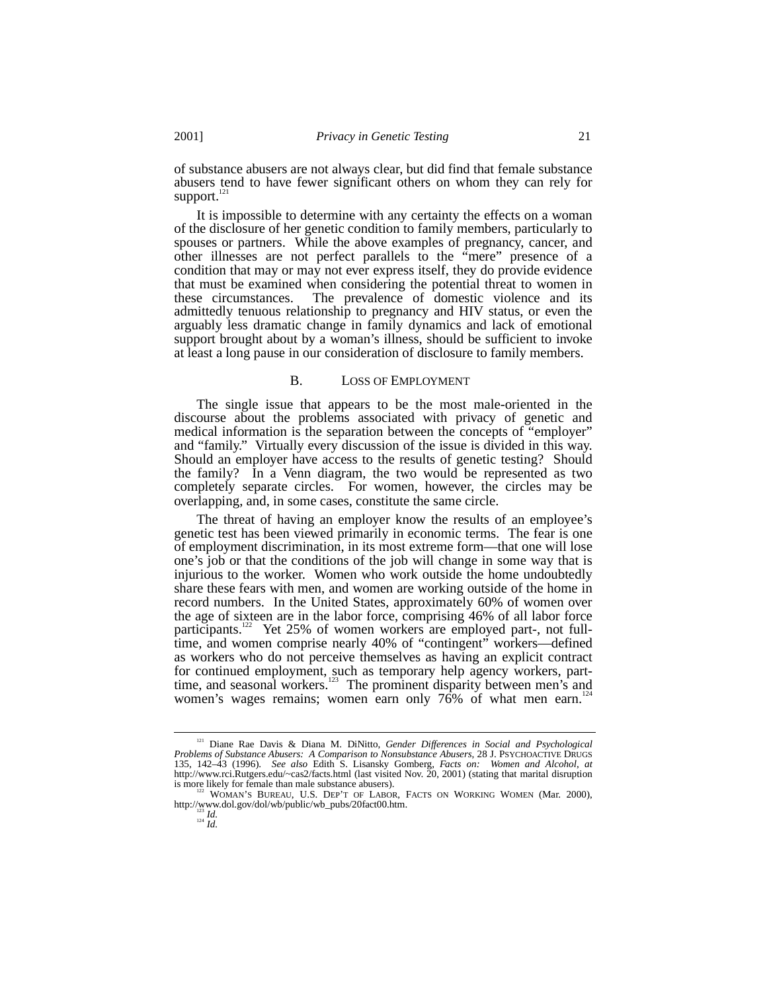of substance abusers are not always clear, but did find that female substance abusers tend to have fewer significant others on whom they can rely for support.<sup>121</sup>

It is impossible to determine with any certainty the effects on a woman of the disclosure of her genetic condition to family members, particularly to spouses or partners. While the above examples of pregnancy, cancer, and other illnesses are not perfect parallels to the "mere" presence of a condition that may or may not ever express itself, they do provide evidence that must be examined when considering the potential threat to women in these circumstances. The prevalence of domestic violence and its admittedly tenuous relationship to pregnancy and HIV status, or even the arguably less dramatic change in family dynamics and lack of emotional support brought about by a woman's illness, should be sufficient to invoke at least a long pause in our consideration of disclosure to family members.

#### B. LOSS OF EMPLOYMENT

The single issue that appears to be the most male-oriented in the discourse about the problems associated with privacy of genetic and medical information is the separation between the concepts of "employer" and "family." Virtually every discussion of the issue is divided in this way. Should an employer have access to the results of genetic testing? Should the family? In a Venn diagram, the two would be represented as two completely separate circles. For women, however, the circles may be overlapping, and, in some cases, constitute the same circle.

The threat of having an employer know the results of an employee's genetic test has been viewed primarily in economic terms. The fear is one of employment discrimination, in its most extreme form––that one will lose one's job or that the conditions of the job will change in some way that is injurious to the worker. Women who work outside the home undoubtedly share these fears with men, and women are working outside of the home in record numbers. In the United States, approximately 60% of women over the age of sixteen are in the labor force, comprising 46% of all labor force participants.<sup>122</sup> Yet 25% of women workers are employed part-, not fulltime, and women comprise nearly 40% of "contingent" workers—defined as workers who do not perceive themselves as having an explicit contract for continued employment, such as temporary help agency workers, parttime, and seasonal workers.<sup>123</sup> The prominent disparity between men's and women's wages remains; women earn only  $76\%$  of what men earn.<sup>12</sup>

 <sup>121</sup> Diane Rae Davis & Diana M. DiNitto, *Gender Differences in Social and Psychological Problems of Substance Abusers: A Comparison to Nonsubstance Abusers*, 28 J. PSYCHOACTIVE DRUGS 135, 142–43 (1996). *See also* Edith S. Lisansky Gomberg, *Facts on: Women and Alcohol*, *at* http://www.rci.Rutgers.edu/~cas2/facts.html (last visited Nov. 20, 2001) (stating that marital disruption is more likely for female than male substance abusers). 122 WOMAN'S BUREAU, U.S. DEP'T OF LABOR, FACTS ON WORKING WOMEN (Mar. 2000),

http://www.dol.gov/dol/wb/public/wb\_pubs/20fact00.htm. <sup>123</sup> *Id.* <sup>124</sup> *Id.*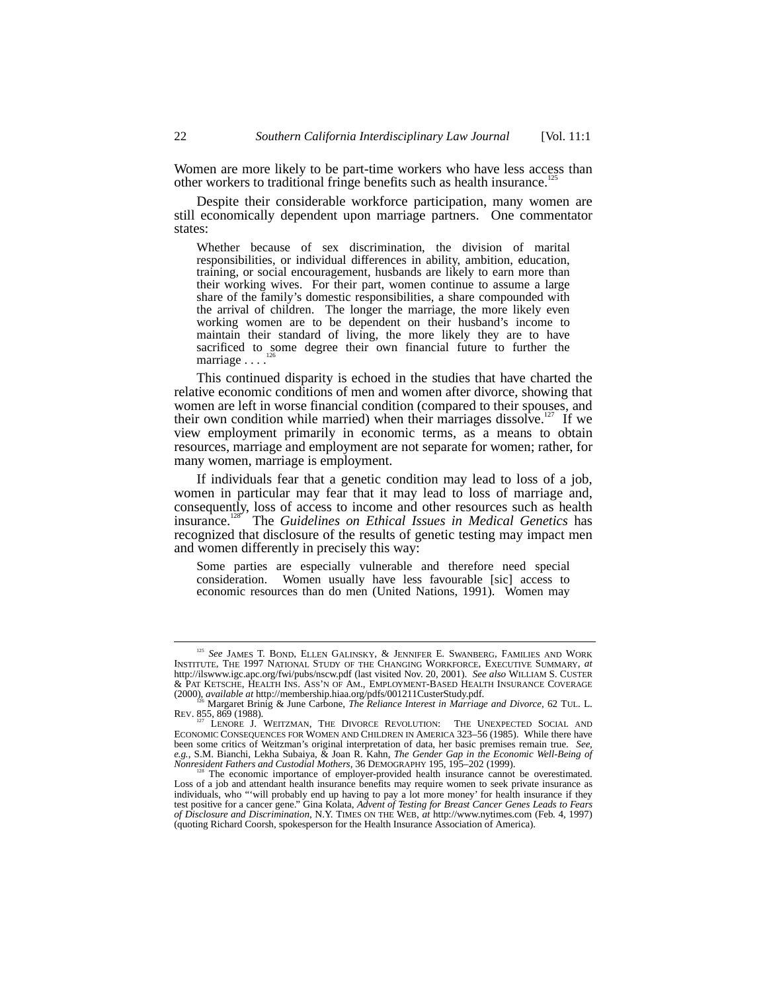Women are more likely to be part-time workers who have less access than other workers to traditional fringe benefits such as health insurance.

Despite their considerable workforce participation, many women are still economically dependent upon marriage partners. One commentator states:

Whether because of sex discrimination, the division of marital responsibilities, or individual differences in ability, ambition, education, training, or social encouragement, husbands are likely to earn more than their working wives. For their part, women continue to assume a large share of the family's domestic responsibilities, a share compounded with the arrival of children. The longer the marriage, the more likely even working women are to be dependent on their husband's income to maintain their standard of living, the more likely they are to have sacrificed to some degree their own financial future to further the marriage . . . .<sup>126</sup>

This continued disparity is echoed in the studies that have charted the relative economic conditions of men and women after divorce, showing that women are left in worse financial condition (compared to their spouses, and their own condition while married) when their marriages dissolve.<sup>127</sup> If we view employment primarily in economic terms, as a means to obtain resources, marriage and employment are not separate for women; rather, for many women, marriage is employment.

If individuals fear that a genetic condition may lead to loss of a job, women in particular may fear that it may lead to loss of marriage and, consequently, loss of access to income and other resources such as health insurance.<sup>128</sup> The *Guidelines on Ethical Issues in Medical Genetics* has recognized that disclosure of the results of genetic testing may impact men and women differently in precisely this way:

Some parties are especially vulnerable and therefore need special consideration. Women usually have less favourable [sic] access to economic resources than do men (United Nations, 1991). Women may

<sup>&</sup>lt;sup>125</sup> See JAMES T. BOND, ELLEN GALINSKY, & JENNIFER E. SWANBERG, FAMILIES AND WORK INSTITUTE, THE 1997 NATIONAL STUDY OF THE CHANGING WORKFORCE, EXECUTIVE SUMMARY, *at* http://ilswww.igc.apc.org/fwi/pubs/nscw.pdf (last visited Nov. 20, 2001). *See also* WILLIAM S. CUSTER & PAT KETSCHE, HEALTH INS. ASS'N OF AM., EMPLOYMENT-BASED HEALTH INSURANCE COVERAGE (2000), *available at* http://membership.hiaa.org/pdfs/001211CusterStudy.pdf. 126 Margaret Brinig & June Carbone, *The Reliance Interest in Marriage and Divorce*, 62 TUL. L.

REV. 855, 869 (1988). <br><sup>127</sup> LENORE J. WEITZMAN, THE DIVORCE REVOLUTION: THE UNEXPECTED SOCIAL AND

ECONOMIC CONSEQUENCES FOR WOMEN AND CHILDREN IN AMERICA 323–56 (1985). While there have been some critics of Weitzman's original interpretation of data, her basic premises remain true. *See, e.g.*, S.M. Bianchi, Lekha Subaiya, & Joan R. Kahn, *The Gender Gap in the Economic Well-Being of*

Nonresident Fathers and Custodial Mothers, 36 DEMOGRAPHY 195, 195–202 (1999).<br><sup>128</sup> The economic importance of employer-provided health insurance cannot be overestimated.<br>Loss of a job and attendant health insurance benefi individuals, who "'will probably end up having to pay a lot more money' for health insurance if they<br>test positive for a cancer gene." Gina Kolata, *Advent of Testing for Breast Cancer Genes Leads to Fears*<br>*of Disclosure* (quoting Richard Coorsh, spokesperson for the Health Insurance Association of America).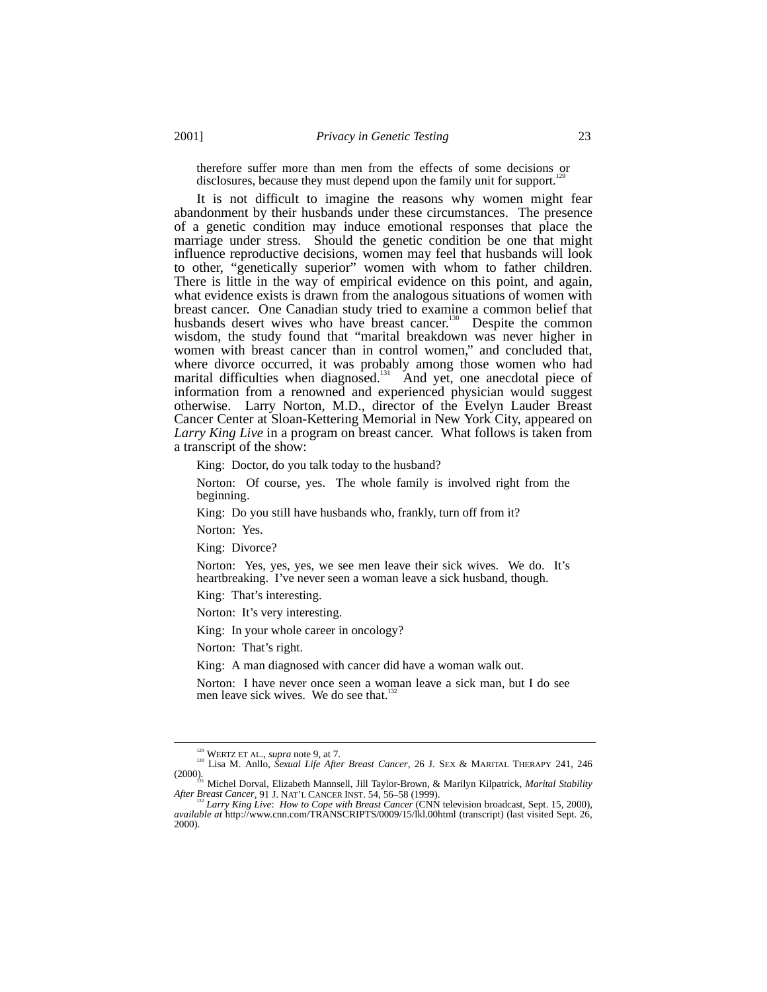therefore suffer more than men from the effects of some decisions or disclosures, because they must depend upon the family unit for support.

It is not difficult to imagine the reasons why women might fear abandonment by their husbands under these circumstances. The presence of a genetic condition may induce emotional responses that place the marriage under stress. Should the genetic condition be one that might influence reproductive decisions, women may feel that husbands will look to other, "genetically superior" women with whom to father children. There is little in the way of empirical evidence on this point, and again, what evidence exists is drawn from the analogous situations of women with breast cancer. One Canadian study tried to examine a common belief that husbands desert wives who have breast cancer.<sup>130</sup> Despite the common wisdom, the study found that "marital breakdown was never higher in women with breast cancer than in control women," and concluded that, where divorce occurred, it was probably among those women who had marital difficulties when diagnosed.<sup>131</sup> And yet, one anecdotal piece of information from a renowned and experienced physician would suggest otherwise. Larry Norton, M.D., director of the Evelyn Lauder Breast Cancer Center at Sloan-Kettering Memorial in New York City, appeared on *Larry King Live* in a program on breast cancer. What follows is taken from a transcript of the show:

King: Doctor, do you talk today to the husband?

Norton: Of course, yes. The whole family is involved right from the beginning.

King: Do you still have husbands who, frankly, turn off from it?

Norton: Yes.

King: Divorce?

Norton: Yes, yes, yes, we see men leave their sick wives. We do. It's heartbreaking. I've never seen a woman leave a sick husband, though.

King: That's interesting.

Norton: It's very interesting.

King: In your whole career in oncology?

Norton: That's right.

King: A man diagnosed with cancer did have a woman walk out.

Norton: I have never once seen a woman leave a sick man, but I do see men leave sick wives. We do see that.<sup>1</sup>

<sup>&</sup>lt;sup>129</sup> WERTZ ET AL., *supra* note 9, at 7.<br><sup>130</sup> Lisa M. Anllo, *Sexual Life After Breast Cancer*, 26 J. SEX & MARITAL THERAPY 241, 246

<sup>(2000).</sup> 131 Michel Dorval, Elizabeth Mannsell, Jill Taylor-Brown, & Marilyn Kilpatrick, *Marital Stability*

After Breast Cancer, 91 J. NAT'L CANCER INST. 54, 56–58 (1999).<br><sup>152</sup> Larry King Live: How to Cope with Breast Cancer (CNN television broadcast, Sept. 15, 2000),<br>available at http://www.cnn.com/TRANSCRIPTS/0009/15/lkl.00ht 2000).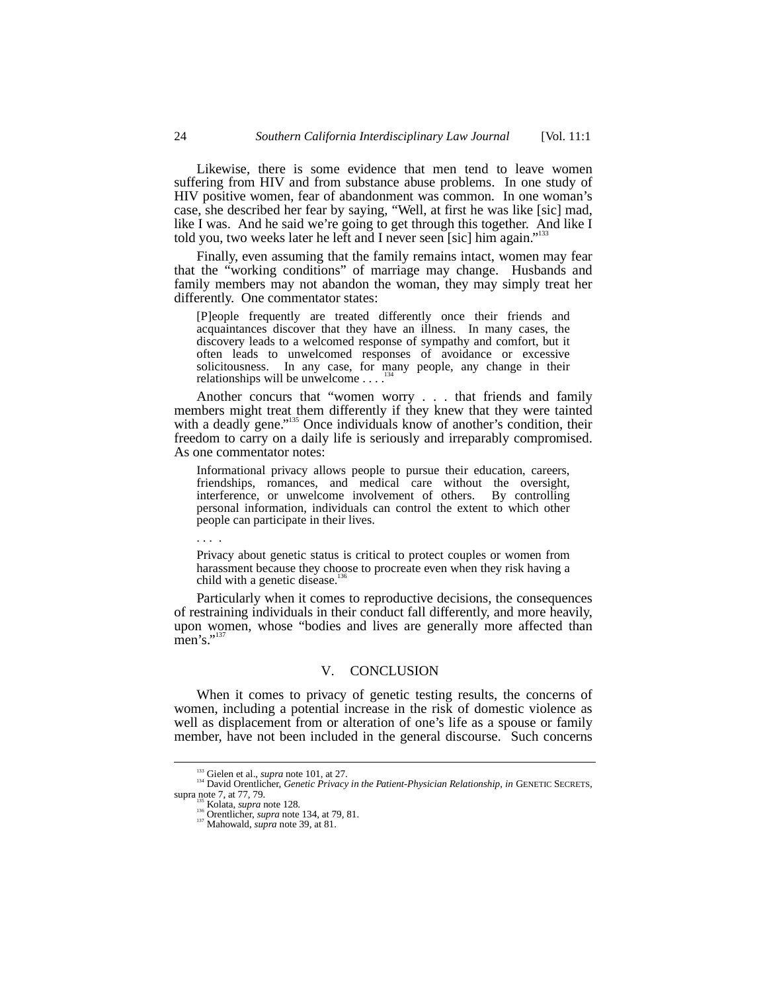Likewise, there is some evidence that men tend to leave women suffering from HIV and from substance abuse problems. In one study of HIV positive women, fear of abandonment was common. In one woman's case, she described her fear by saying, "Well, at first he was like [sic] mad, like I was. And he said we're going to get through this together. And like I told you, two weeks later he left and I never seen [sic] him again."<sup>133</sup>

Finally, even assuming that the family remains intact, women may fear that the "working conditions" of marriage may change. Husbands and family members may not abandon the woman, they may simply treat her differently. One commentator states:

[P]eople frequently are treated differently once their friends and acquaintances discover that they have an illness. In many cases, the discovery leads to a welcomed response of sympathy and comfort, but it often leads to unwelcomed responses of avoidance or excessive solicitousness. In any case, for many people, any change in their relationships will be unwelcome  $\dots$ <sup>13</sup>

Another concurs that "women worry . . . that friends and family members might treat them differently if they knew that they were tainted with a deadly gene."<sup>135</sup> Once individuals know of another's condition, their freedom to carry on a daily life is seriously and irreparably compromised. As one commentator notes:

Informational privacy allows people to pursue their education, careers, friendships, romances, and medical care without the oversight, interference, or unwelcome involvement of others. By controlling personal information, individuals can control the extent to which other people can participate in their lives.

Privacy about genetic status is critical to protect couples or women from harassment because they choose to procreate even when they risk having a child with a genetic disease. $136$ 

Particularly when it comes to reproductive decisions, the consequences of restraining individuals in their conduct fall differently, and more heavily, upon women, whose "bodies and lives are generally more affected than  $\overline{\text{men's}}$ ."

#### V. CONCLUSION

When it comes to privacy of genetic testing results, the concerns of women, including a potential increase in the risk of domestic violence as well as displacement from or alteration of one's life as a spouse or family member, have not been included in the general discourse. Such concerns

. . . .

<sup>&</sup>lt;sup>133</sup> Gielen et al., *supra* note 101, at 27.<br><sup>134</sup> David Orentlicher, *Genetic Privacy in the Patient-Physician Relationship*, *in* GENETIC SECRETS,<br>supra note 7, at 77, 79.<br><sup>135</sup> Kolata, *supra* note 128.<br><sup>135</sup> Mortenli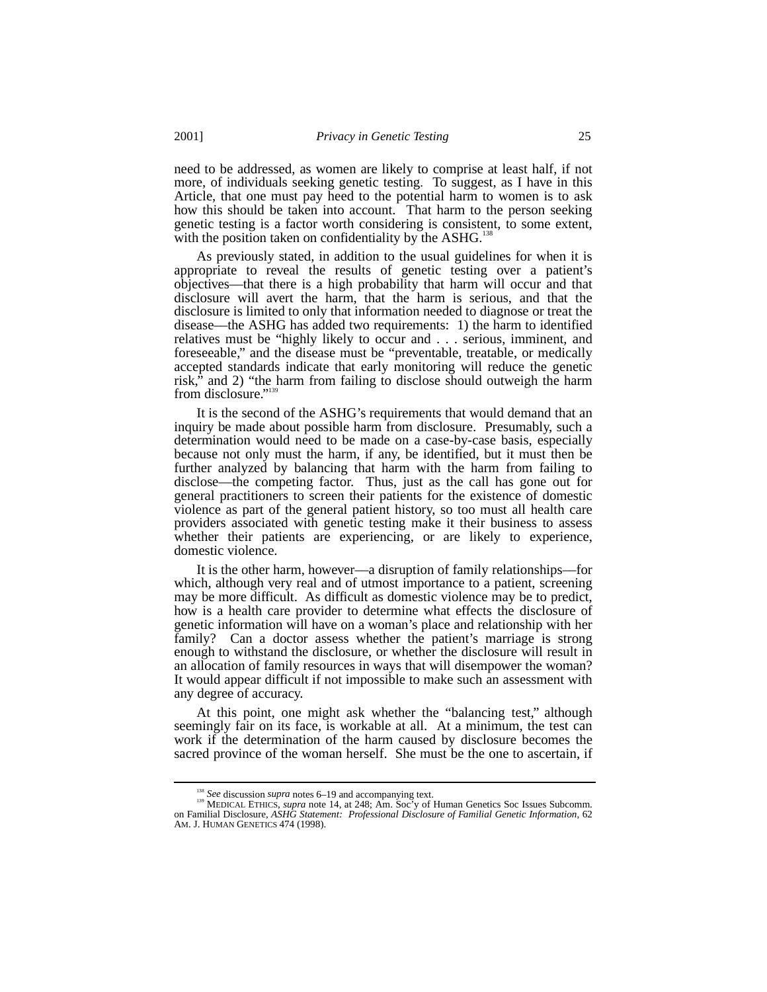need to be addressed, as women are likely to comprise at least half, if not more, of individuals seeking genetic testing. To suggest, as I have in this Article, that one must pay heed to the potential harm to women is to ask how this should be taken into account. That harm to the person seeking genetic testing is a factor worth considering is consistent, to some extent, with the position taken on confidentiality by the ASHG.<sup>138</sup>

As previously stated, in addition to the usual guidelines for when it is appropriate to reveal the results of genetic testing over a patient's objectives––that there is a high probability that harm will occur and that disclosure will avert the harm, that the harm is serious, and that the disclosure is limited to only that information needed to diagnose or treat the disease––the ASHG has added two requirements: 1) the harm to identified relatives must be "highly likely to occur and . . . serious, imminent, and foreseeable," and the disease must be "preventable, treatable, or medically accepted standards indicate that early monitoring will reduce the genetic risk," and 2) "the harm from failing to disclose should outweigh the harm from disclosure."<sup>139</sup>

It is the second of the ASHG's requirements that would demand that an inquiry be made about possible harm from disclosure. Presumably, such a determination would need to be made on a case-by-case basis, especially because not only must the harm, if any, be identified, but it must then be further analyzed by balancing that harm with the harm from failing to disclose—the competing factor. Thus, just as the call has gone out for general practitioners to screen their patients for the existence of domestic violence as part of the general patient history, so too must all health care providers associated with genetic testing make it their business to assess whether their patients are experiencing, or are likely to experience, domestic violence.

It is the other harm, however––a disruption of family relationships––for which, although very real and of utmost importance to a patient, screening may be more difficult. As difficult as domestic violence may be to predict, how is a health care provider to determine what effects the disclosure of genetic information will have on a woman's place and relationship with her family? Can a doctor assess whether the patient's marriage is strong enough to withstand the disclosure, or whether the disclosure will result in an allocation of family resources in ways that will disempower the woman? It would appear difficult if not impossible to make such an assessment with any degree of accuracy.

At this point, one might ask whether the "balancing test," although seemingly fair on its face, is workable at all. At a minimum, the test can work if the determination of the harm caused by disclosure becomes the sacred province of the woman herself. She must be the one to ascertain, if

See discussion *supra* notes 6–19 and accompanying text.<br><sup>139</sup> MEDICAL ETHICS, *supra* note 14, at 248; Am. Soc'y of Human Genetics Soc Issues Subcomm.<br>2011 Familial Disclosure, ASHG Statement: *Professional Disclosure of* AM. J. HUMAN GENETICS 474 (1998).